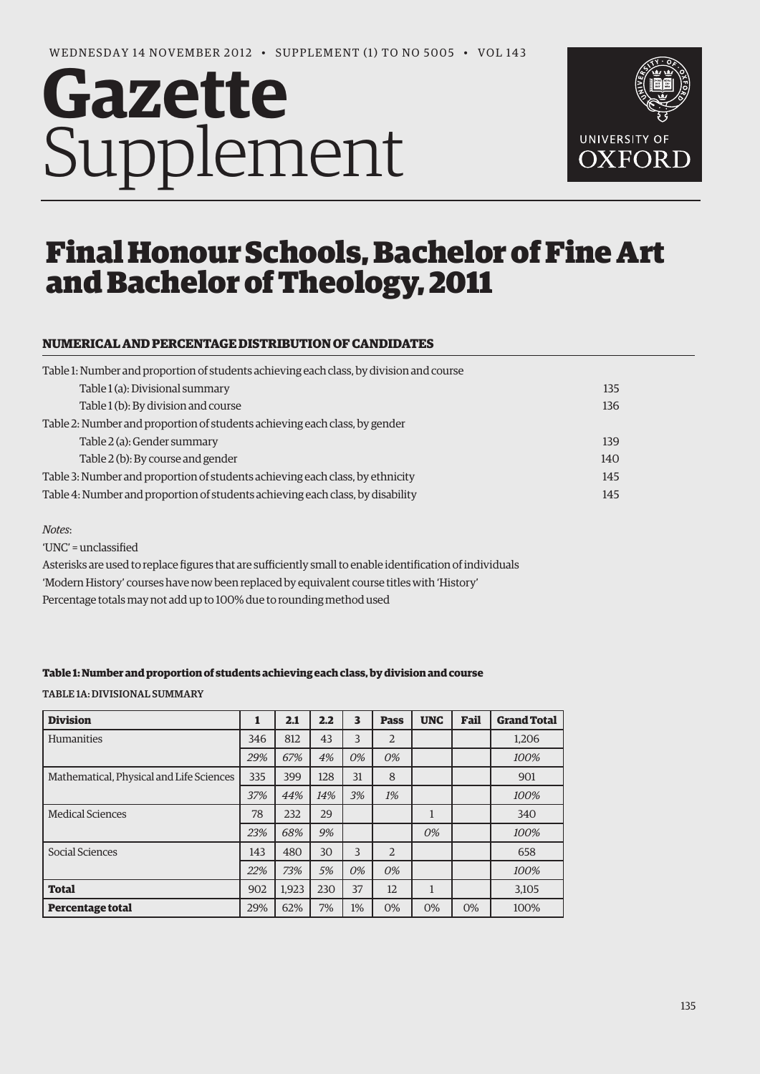# **Gazette** Supplement



# Final Honour Schools, Bachelor of Fine Art and Bachelor of Theology, 2011

## **NUMERICAL AND PERCENTAGE DISTRIBUTION OF CANDIDATES**

| 135 |
|-----|
| 136 |
|     |
| 139 |
| 140 |
| 145 |
| 145 |
|     |

#### *Notes*:

'UNC' = unclassified Asterisks are used to replace figures that are sufficiently small to enable identification of individuals 'Modern History' courses have now been replaced by equivalent course titles with 'History'

Percentage totals may not add up to 100% due to rounding method used

#### **Table 1: Number and proportion of students achieving each class, by division and course**

Table 1a: Divisional Summary

| <b>Division</b>                          | 1   | 2.1   | 2.2 | 3  | <b>Pass</b> | <b>UNC</b> | Fail | <b>Grand Total</b> |
|------------------------------------------|-----|-------|-----|----|-------------|------------|------|--------------------|
| <b>Humanities</b>                        | 346 | 812   | 43  | 3  | 2           |            |      | 1,206              |
|                                          | 29% | 67%   | 4%  | 0% | 0%          |            |      | 100%               |
| Mathematical, Physical and Life Sciences | 335 | 399   | 128 | 31 | 8           |            |      | 901                |
|                                          | 37% | 44%   | 14% | 3% | 1%          |            |      | 100%               |
| <b>Medical Sciences</b>                  | 78  | 232   | 29  |    |             | 1          |      | 340                |
|                                          | 23% | 68%   | 9%  |    |             | 0%         |      | 100%               |
| Social Sciences                          | 143 | 480   | 30  | 3  | 2           |            |      | 658                |
|                                          | 22% | 73%   | 5%  | 0% | 0%          |            |      | 100%               |
| <b>Total</b>                             | 902 | 1.923 | 230 | 37 | 12          | 1          |      | 3,105              |
| <b>Percentage total</b>                  | 29% | 62%   | 7%  | 1% | 0%          | 0%         | 0%   | 100%               |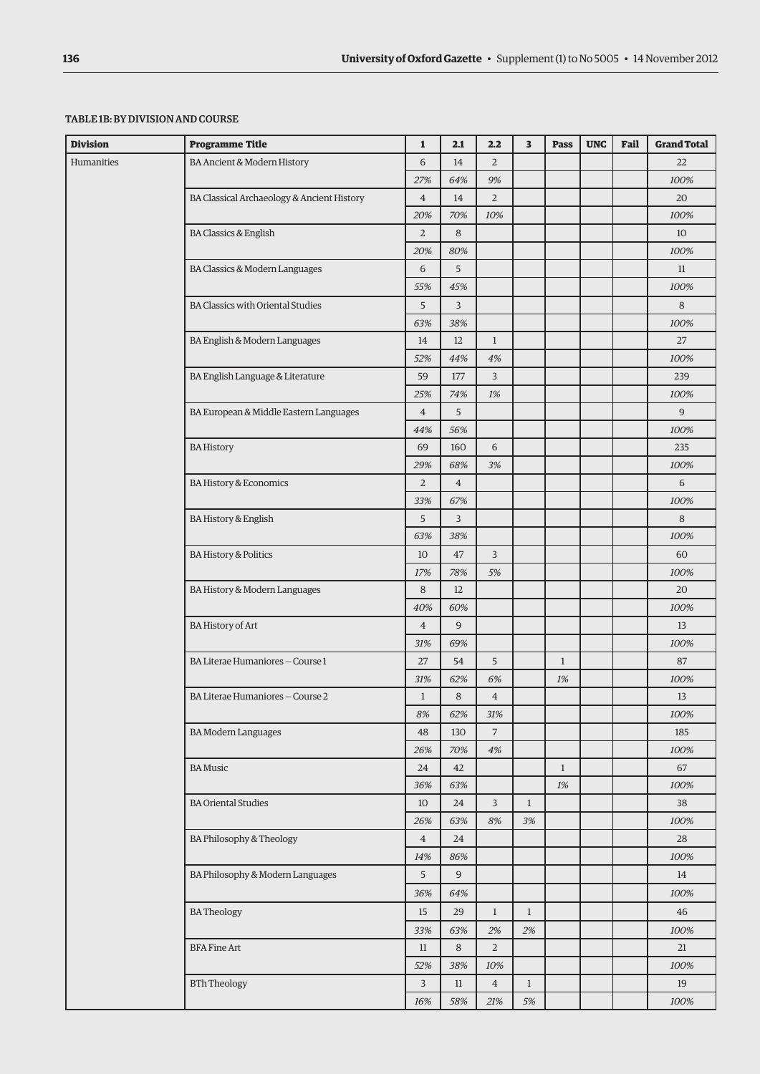#### Table 1b: By division and course

| <b>Division</b> | <b>Programme Title</b>                     | $\mathbf{1}$   | 2.1            | 2.2            | 3            | Pass         | <b>UNC</b> | Fail | <b>Grand Total</b> |
|-----------------|--------------------------------------------|----------------|----------------|----------------|--------------|--------------|------------|------|--------------------|
| Humanities      | BA Ancient & Modern History                | 6              | 14             | $\overline{2}$ |              |              |            |      | 22                 |
|                 |                                            | 27%            | 64%            | 9%             |              |              |            |      | 100%               |
|                 | BA Classical Archaeology & Ancient History | $\overline{4}$ | 14             | $\overline{2}$ |              |              |            |      | 20                 |
|                 |                                            | 20%            | 70%            | 10%            |              |              |            |      | 100%               |
|                 | <b>BA Classics &amp; English</b>           | $\overline{2}$ | 8              |                |              |              |            |      | 10                 |
|                 |                                            | 20%            | 80%            |                |              |              |            |      | 100%               |
|                 | BA Classics & Modern Languages             | 6              | 5              |                |              |              |            |      | 11                 |
|                 |                                            | 55%            | 45%            |                |              |              |            |      | 100%               |
|                 | <b>BA Classics with Oriental Studies</b>   | 5              | 3              |                |              |              |            |      | 8                  |
|                 |                                            | 63%            | 38%            |                |              |              |            |      | 100%               |
|                 | BA English & Modern Languages              | 14             | 12             | $\mathbf{1}$   |              |              |            |      | 27                 |
|                 |                                            | 52%            | 44%            | 4%             |              |              |            |      | 100%               |
|                 | BA English Language & Literature           | 59             | 177            | 3              |              |              |            |      | 239                |
|                 |                                            | 25%            | 74%            | 1%             |              |              |            |      | 100%               |
|                 | BA European & Middle Eastern Languages     | $\overline{4}$ | 5              |                |              |              |            |      | 9                  |
|                 |                                            | 44%            | 56%            |                |              |              |            |      | 100%               |
|                 | <b>BA History</b>                          | 69             | 160            | 6              |              |              |            |      | 235                |
|                 |                                            | 29%            | 68%            | 3%             |              |              |            |      | 100%               |
|                 | BA History & Economics                     | $\overline{2}$ | $\overline{4}$ |                |              |              |            |      | 6                  |
|                 |                                            | 33%            | 67%            |                |              |              |            |      | 100%               |
|                 | BA History & English                       | 5              | 3              |                |              |              |            |      | 8                  |
|                 |                                            |                | 38%            |                |              |              |            |      | 100%               |
|                 | <b>BA History &amp; Politics</b>           | 10             | 47             | 3              |              |              |            |      | 60                 |
|                 | 17%                                        | 78%            | 5%             |                |              |              |            | 100% |                    |
|                 | BA History & Modern Languages              | 8              | 12             |                |              |              |            |      | 20                 |
|                 |                                            | 40%            | 60%            |                |              |              |            |      | 100%               |
|                 | <b>BA History of Art</b>                   | $\overline{4}$ | 9              |                |              |              |            |      | 13                 |
|                 |                                            | 31%            | 69%            |                |              |              |            |      | 100%               |
|                 | BA Literae Humaniores - Course 1           | 27             | 54             | 5              |              | $\mathbf{1}$ |            |      | 87                 |
|                 |                                            | 31%            | 62%            | 6%             |              | $1\%$        |            |      | 100%               |
|                 | BA Literae Humaniores - Course 2           | $\mathbf{1}$   | 8              | $\overline{4}$ |              |              |            |      | 13                 |
|                 |                                            | 8%             | 62%            | 31%            |              |              |            |      | 100%               |
|                 | <b>BA Modern Languages</b>                 | 48             | 130            | $\overline{7}$ |              |              |            |      | 185                |
|                 |                                            | 26%            | 70%            | 4%             |              |              |            |      | 100%               |
|                 | <b>BA</b> Music                            | 24             | 42             |                |              | $\mathbf{1}$ |            |      | 67                 |
|                 |                                            | 36%            | 63%            |                |              | $1\%$        |            |      | 100%               |
|                 | <b>BA Oriental Studies</b>                 | 10             | 24             | 3              | $\mathbf{1}$ |              |            |      | 38                 |
|                 |                                            | 26%            | 63%            | $8\%$          | 3%           |              |            |      | 100%               |
|                 | BA Philosophy & Theology                   | $\overline{4}$ | 24             |                |              |              |            |      | 28                 |
|                 |                                            | 14%            | 86%            |                |              |              |            |      | 100%               |
|                 | BA Philosophy & Modern Languages           | 5              | 9              |                |              |              |            |      | 14                 |
|                 |                                            | 36%            | 64%            |                |              |              |            |      | 100%               |
|                 | <b>BATheology</b>                          | 15             | 29             | $\mathbf{1}$   | $\mathbf{1}$ |              |            |      | 46                 |
|                 | <b>BFA Fine Art</b>                        |                | 63%            | 2%             | 2%           |              |            |      | 100%               |
|                 |                                            |                | 8              | $\overline{2}$ |              |              |            |      | 21                 |
|                 | 11<br>52%                                  | 38%            | 10%            |                |              |              |            | 100% |                    |
|                 | <b>BTh Theology</b>                        | 3              | 11             | $\overline{4}$ | $\mathbf{1}$ |              |            |      | 19                 |
|                 |                                            | 16%            | 58%            | 21%            | $5\%$        |              |            |      | 100%               |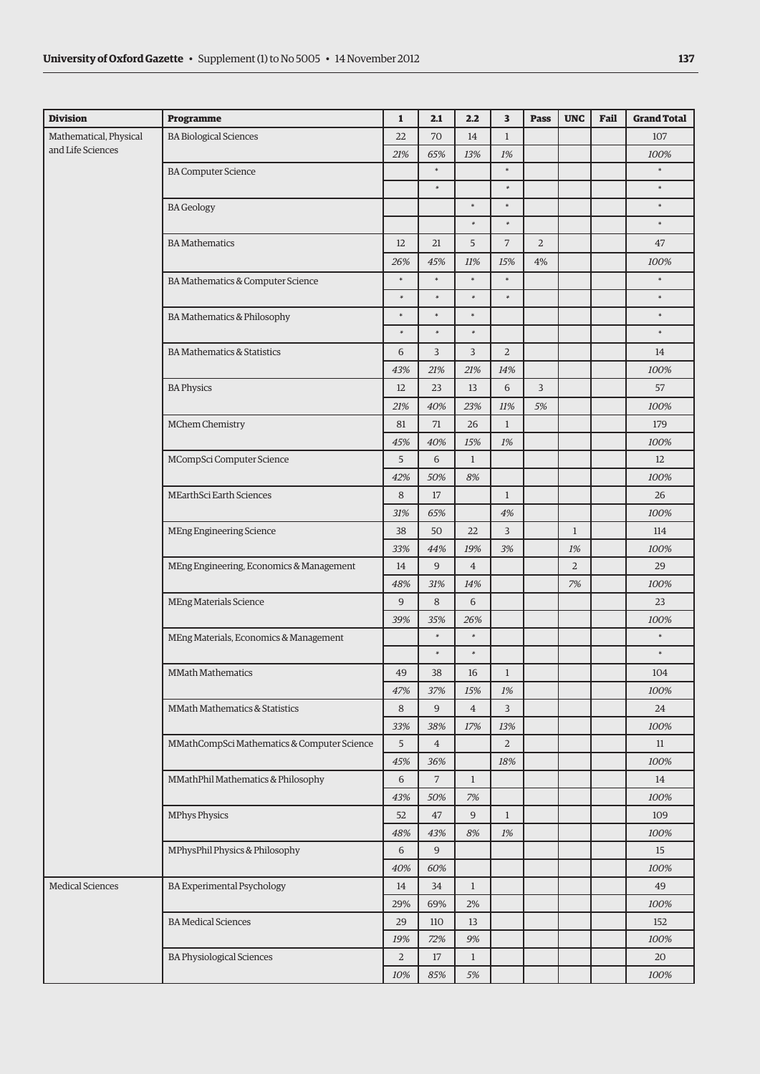| <b>Division</b>         | <b>Programme</b>                            | $\mathbf{1}$ | 2.1            | 2.2            | 3              | <b>Pass</b>    | <b>UNC</b>     | Fail | <b>Grand Total</b> |
|-------------------------|---------------------------------------------|--------------|----------------|----------------|----------------|----------------|----------------|------|--------------------|
| Mathematical, Physical  | <b>BA Biological Sciences</b>               | 22           | 70             | 14             | $\mathbf{1}$   |                |                |      | 107                |
| and Life Sciences       |                                             | 21%          | 65%            | 13%            | 1%             |                |                |      | 100%               |
|                         | <b>BA Computer Science</b>                  |              | $\ast$         |                | $\ast$         |                |                |      | ×                  |
|                         |                                             |              | $\ast$         |                | $\ast$         |                |                |      | $\ast$             |
|                         | <b>BA</b> Geology                           |              |                | $\ast$         | $\ast$         |                |                |      | $\ast$             |
|                         |                                             |              |                | $\ast$         | $\ast$         |                |                |      | ×                  |
|                         | <b>BA</b> Mathematics                       | 12           | 21             | 5              | $\overline{7}$ | $\overline{2}$ |                |      | 47                 |
|                         |                                             | 26%          | 45%            | 11%            | 15%            | 4%             |                |      | 100%               |
|                         | BA Mathematics & Computer Science           | $\ast$       | $\ast$         | $\ast$         | $\ast$         |                |                |      | *.                 |
|                         |                                             | $\ast$       | $\ast$         | $\ast$         | $\ast$         |                |                |      | $\ast$             |
|                         | BA Mathematics & Philosophy                 | $\ast$       | $\ast$         | $\ast$         |                |                |                |      | $\ast$             |
|                         |                                             | $\ast$       | $\ast$         | $\ast$         |                |                |                |      | *.                 |
|                         | <b>BA Mathematics &amp; Statistics</b>      | 6            | 3              | 3              | $\overline{2}$ |                |                |      | 14                 |
|                         |                                             | 43%          | 21%            | 21%            | 14%            |                |                |      | 100%               |
|                         | <b>BA Physics</b>                           | 12           | 23             | 13             | 6              | 3              |                |      | 57                 |
|                         |                                             | 21%          | 40%            | 23%            | 11%            | 5%             |                |      | 100%               |
|                         | MChem Chemistry                             | 81           | $71\,$         | 26             | $\mathbf{1}$   |                |                |      | 179                |
|                         |                                             | 45%          | 40%            | 15%            | 1%             |                |                |      | 100%               |
|                         | MCompSci Computer Science                   | 5            | 6              | $\mathbf{1}$   |                |                |                |      | 12                 |
|                         |                                             | 42%          | 50%            | 8%             |                |                |                |      | 100%               |
|                         | MEarthSci Earth Sciences                    | 8            | 17             |                | $\mathbf{1}$   |                |                |      | 26                 |
|                         |                                             | 31%          | 65%            |                | $4\%$          |                |                |      | 100%               |
|                         | MEng Engineering Science                    | 38           | 50             | 22             | $\overline{3}$ |                | $\mathbf{1}$   |      | 114                |
|                         |                                             | 33%          | 44%            | 19%            | 3%             |                | 1%             |      | 100%               |
|                         | MEng Engineering, Economics & Management    | 14           | 9              | $\overline{4}$ |                |                | $\overline{2}$ |      | 29                 |
|                         |                                             | 48%          | 31%            | 14%            |                |                | 7%             |      | 100%               |
|                         | <b>MEng Materials Science</b>               | 9            | 8              | 6              |                |                |                |      | 23                 |
|                         |                                             | 39%          | 35%            | 26%            |                |                |                |      | 100%               |
|                         | MEng Materials, Economics & Management      |              | $\ast$         | $\ast$         |                |                |                |      | $\ast$             |
|                         |                                             |              | $\ast$         | $\ast$         |                |                |                |      | $\ast$             |
|                         | <b>MMath Mathematics</b>                    | 49           | 38             | 16             | $\mathbf{1}$   |                |                |      | 104                |
|                         |                                             | 47%          | 37%            | 15%            | $1\%$          |                |                |      | 100%               |
|                         | MMath Mathematics & Statistics              | 8            | 9              | $\overline{4}$ | $\overline{3}$ |                |                |      | 24                 |
|                         |                                             | 33%          | 38%            | 17%            | 13%            |                |                |      | 100%               |
|                         | MMathCompSci Mathematics & Computer Science | 5            | $\overline{4}$ |                | $\sqrt{2}$     |                |                |      | $11\,$             |
|                         |                                             | 45%          | 36%            |                | $18\%$         |                |                |      | 100%               |
|                         | MMathPhil Mathematics & Philosophy          | 6            | $\overline{7}$ | $\mathbf{1}$   |                |                |                |      | 14                 |
|                         |                                             | 43%          | 50%            | 7%             |                |                |                |      | 100%               |
|                         | <b>MPhys Physics</b>                        | 52           | 47             | 9              | $\mathbf{1}$   |                |                |      | 109                |
|                         |                                             | 48%          | 43%            | $8\%$          | $1\%$          |                |                |      | 100%               |
|                         | MPhysPhil Physics & Philosophy              | 6            | 9              |                |                |                |                |      | 15                 |
|                         |                                             | 40%          | 60%            |                |                |                |                |      | 100%               |
| <b>Medical Sciences</b> | BA Experimental Psychology                  | 14           | 34             | $\mathbf{1}$   |                |                |                |      | 49                 |
|                         |                                             | 29%          | 69%            | 2%             |                |                |                |      | 100%               |
|                         | <b>BA</b> Medical Sciences                  | 29           | 110            | 13             |                |                |                |      | 152                |
|                         |                                             |              | 72%            | 9%             |                |                |                |      | 100%               |
|                         | <b>BA Physiological Sciences</b>            |              | 17             | $\mathbf{1}$   |                |                |                |      | 20                 |
|                         |                                             | 10%          | 85%            | 5%             |                |                |                |      | 100%               |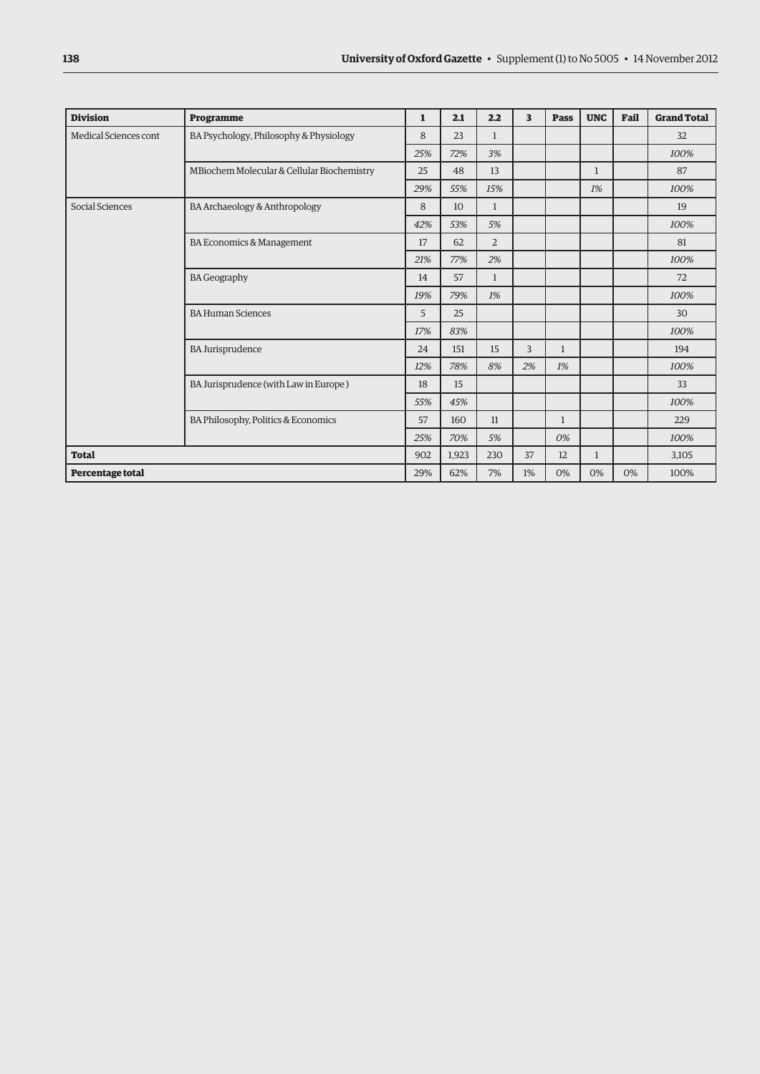| <b>Division</b>       | Programme                                  | 1   | 2.1   | 2.2            | 3  | Pass         | <b>UNC</b>   | Fail | <b>Grand Total</b> |
|-----------------------|--------------------------------------------|-----|-------|----------------|----|--------------|--------------|------|--------------------|
| Medical Sciences cont | BA Psychology, Philosophy & Physiology     | 8   | 23    | $\mathbf{1}$   |    |              |              |      | 32                 |
|                       |                                            |     | 72%   | 3%             |    |              |              |      | 100%               |
|                       | MBiochem Molecular & Cellular Biochemistry | 25  | 48    | 13             |    |              | $\mathbf{1}$ |      | 87                 |
|                       |                                            | 29% | 55%   | 15%            |    |              | 1%           |      | 100%               |
| Social Sciences       | BA Archaeology & Anthropology              | 8   | 10    | $\mathbf{1}$   |    |              |              |      | 19                 |
|                       |                                            | 42% | 53%   | 5%             |    |              |              |      | 100%               |
|                       | BA Economics & Management                  | 17  | 62    | $\overline{2}$ |    |              |              |      | 81                 |
|                       |                                            | 21% | 77%   | 2%             |    |              |              |      | 100%               |
|                       | <b>BA Geography</b>                        |     | 57    | $\mathbf{1}$   |    |              |              |      | 72                 |
|                       |                                            | 19% | 79%   | 1%             |    |              |              |      | 100%               |
|                       | <b>BA Human Sciences</b>                   | 5   | 25    |                |    |              |              |      | 30                 |
|                       |                                            | 17% | 83%   |                |    |              |              |      | 100%               |
|                       | <b>BA Jurisprudence</b>                    | 24  | 151   | 15             | 3  | $\mathbf{1}$ |              |      | 194                |
|                       |                                            | 12% | 78%   | 8%             | 2% | 1%           |              |      | 100%               |
|                       | BA Jurisprudence (with Law in Europe)      | 18  | 15    |                |    |              |              |      | 33                 |
|                       |                                            | 55% | 45%   |                |    |              |              |      | 100%               |
|                       | BA Philosophy, Politics & Economics        | 57  | 160   | 11             |    | 1            |              |      | 229                |
|                       |                                            | 25% | 70%   | 5%             |    | 0%           |              |      | 100%               |
| <b>Total</b>          |                                            | 902 | 1,923 | 230            | 37 | 12           | $\mathbf{1}$ |      | 3,105              |
| Percentage total      |                                            |     | 62%   | 7%             | 1% | 0%           | 0%           | 0%   | 100%               |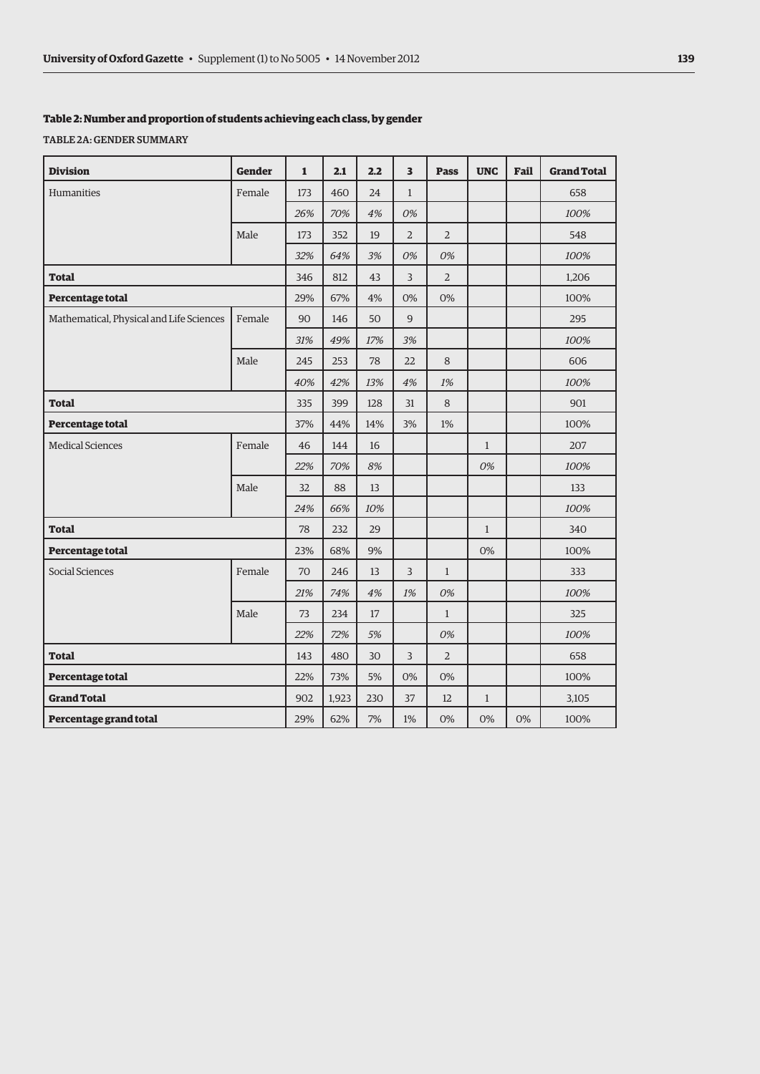### **Table 2: Number and proportion of students achieving each class, by gender**

Table 2a: Gender summary

| <b>Division</b>                          | <b>Gender</b> | $\mathbf{1}$ | 2.1   | 2.2   | $\overline{\mathbf{3}}$ | <b>Pass</b>    | <b>UNC</b>   | Fail | <b>Grand Total</b> |
|------------------------------------------|---------------|--------------|-------|-------|-------------------------|----------------|--------------|------|--------------------|
| Humanities                               | Female        | 173          | 460   | 24    | $\mathbf{1}$            |                |              |      | 658                |
|                                          |               | 26%          | 70%   | 4%    | 0%                      |                |              |      | 100%               |
|                                          | Male          | 173          | 352   | 19    | $\overline{2}$          | $\overline{2}$ |              |      | 548                |
|                                          |               | 32%          | 64%   | 3%    | 0%                      | 0%             |              |      | 100%               |
| <b>Total</b>                             |               | 346          | 812   | 43    | 3                       | $\overline{2}$ |              |      | 1,206              |
| Percentage total                         |               |              | 67%   | 4%    | 0%                      | 0%             |              |      | 100%               |
| Mathematical, Physical and Life Sciences | Female        | 90           | 146   | 50    | 9                       |                |              |      | 295                |
|                                          |               | 31%          | 49%   | 17%   | 3%                      |                |              |      | 100%               |
|                                          | Male          | 245          | 253   | 78    | 22                      | 8              |              |      | 606                |
|                                          |               | 40%          | 42%   | 13%   | 4%                      | 1%             |              |      | 100%               |
| <b>Total</b>                             |               | 335          | 399   | 128   | 31                      | 8              |              |      | 901                |
| Percentage total                         |               | 37%          | 44%   | 14%   | 3%                      | 1%             |              |      | 100%               |
| Medical Sciences                         | Female        | 46           | 144   | 16    |                         |                | $\mathbf{1}$ |      | 207                |
|                                          |               | 22%          | 70%   | 8%    |                         |                | 0%           |      | 100%               |
|                                          | Male          | 32           | 88    | 13    |                         |                |              |      | 133                |
|                                          |               | 24%          | 66%   | 10%   |                         |                |              |      | 100%               |
| <b>Total</b>                             |               | 78           | 232   | 29    |                         |                | $\mathbf{1}$ |      | 340                |
| Percentage total                         |               | 23%          | 68%   | 9%    |                         |                | 0%           |      | 100%               |
| Social Sciences                          | Female        | 70           | 246   | 13    | 3                       | $\mathbf{1}$   |              |      | 333                |
|                                          |               | 21%          | 74%   | 4%    | 1%                      | 0%             |              |      | 100%               |
|                                          | Male          | 73           | 234   | 17    |                         | $\mathbf{1}$   |              |      | 325                |
|                                          |               | 22%          | 72%   | 5%    |                         | 0%             |              |      | 100%               |
| <b>Total</b>                             |               |              | 480   | 30    | $\overline{3}$          | $\overline{2}$ |              |      | 658                |
| Percentage total                         |               |              | 73%   | 5%    | 0%                      | 0%             |              |      | 100%               |
| <b>Grand Total</b>                       |               |              | 1,923 | 230   | 37                      | 12             | $\mathbf{1}$ |      | 3,105              |
| Percentage grand total                   | 29%           | 62%          | 7%    | $1\%$ | 0%                      | 0%             | 0%           | 100% |                    |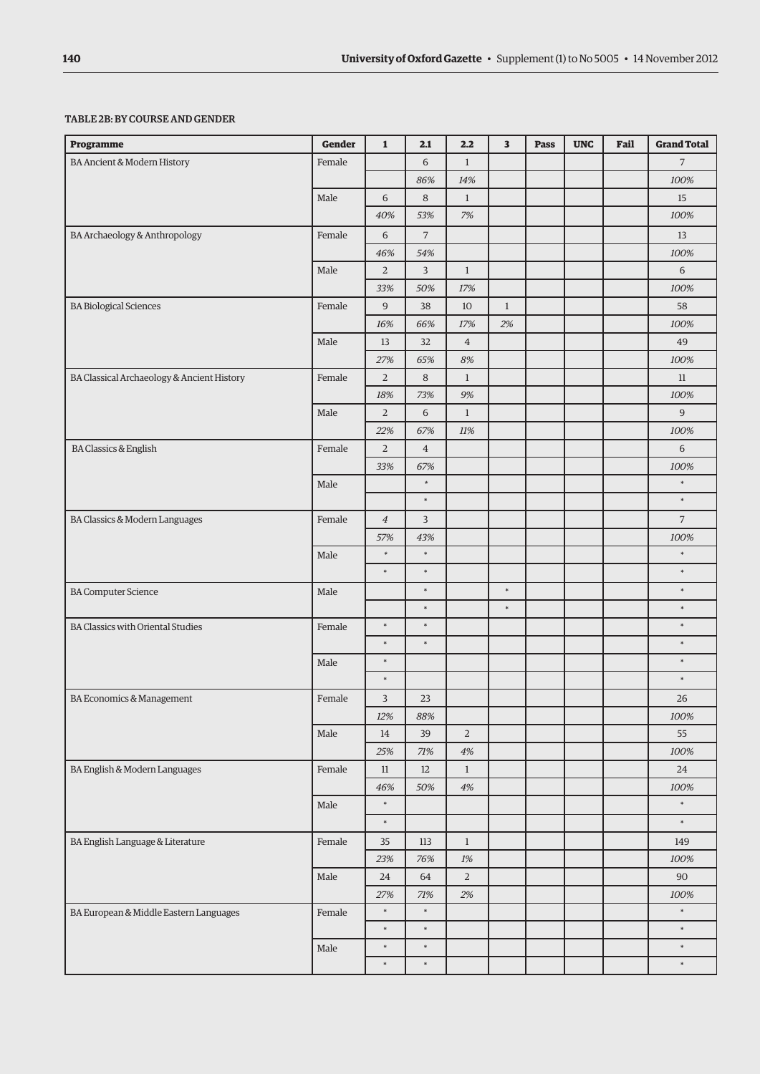#### Table 2b: By course andgender

| <b>Programme</b>                           | <b>Gender</b> | $\mathbf{1}$     | 2.1            | 2.2            | 3            | Pass | <b>UNC</b> | Fail | <b>Grand Total</b> |
|--------------------------------------------|---------------|------------------|----------------|----------------|--------------|------|------------|------|--------------------|
| BA Ancient & Modern History                | Female        |                  | 6              | $\mathbf{1}$   |              |      |            |      | $\overline{7}$     |
|                                            |               |                  | 86%            | 14%            |              |      |            |      | 100%               |
|                                            | Male          | 6                | $\,8\,$        | $\mathbf{1}$   |              |      |            |      | 15                 |
|                                            |               | 40%              | 53%            | $7\%$          |              |      |            |      | 100%               |
| BA Archaeology & Anthropology              | Female        | 6                | $\overline{7}$ |                |              |      |            |      | 13                 |
|                                            |               | 46%              | 54%            |                |              |      |            |      | 100%               |
|                                            | Male          | $\overline{2}$   | $\overline{3}$ | $\mathbf{1}$   |              |      |            |      | 6                  |
|                                            |               | 33%              | 50%            | 17%            |              |      |            |      | 100%               |
| <b>BA Biological Sciences</b>              | Female        | 9                | 38             | 10             | $\mathbf{1}$ |      |            |      | 58                 |
|                                            |               | 16%              | 66%            | $17\%$         | $2\%$        |      |            |      | 100%               |
|                                            | Male          | 13               | 32             | $\overline{4}$ |              |      |            |      | 49                 |
|                                            |               | 27%              | 65%            | 8%             |              |      |            |      | 100%               |
| BA Classical Archaeology & Ancient History | Female        | $\overline{2}$   | 8              | $\mathbf{1}$   |              |      |            |      | 11                 |
|                                            |               | 18%              | 73%            | 9%             |              |      |            |      | 100%               |
|                                            | Male          | $\overline{2}$   | $\,$ 6 $\,$    | $\mathbf{1}$   |              |      |            |      | $\boldsymbol{9}$   |
|                                            |               | 22%              | 67%            | 11%            |              |      |            |      | 100%               |
| <b>BA Classics &amp; English</b>           | Female        | $\overline{2}$   | $\overline{4}$ |                |              |      |            |      | 6                  |
|                                            |               | 33%              | 67%            |                |              |      |            |      | 100%               |
|                                            | Male          |                  | $\ast$         |                |              |      |            |      | $\ast$             |
|                                            |               |                  | $\ast$         |                |              |      |            |      | $\ast$             |
| BA Classics & Modern Languages             | Female        | $\ensuremath{4}$ | 3              |                |              |      |            |      | $\sqrt{7}$         |
|                                            |               | 57%              | 43%            |                |              |      |            |      | 100%               |
|                                            | Male          | $\ast$           | $\ast$         |                |              |      |            |      | $\ast$             |
|                                            |               | $\ast$           | $\ast$         |                |              |      |            |      | $\ast$             |
| <b>BA Computer Science</b>                 | Male          |                  | $\ast$         |                | $\ast$       |      |            |      | $\ast$             |
|                                            |               |                  | $\ast$         |                | $\ast$       |      |            |      | $\ast$             |
| <b>BA Classics with Oriental Studies</b>   | Female        | $\ast$           | $\ast$         |                |              |      |            |      | $\ast$             |
|                                            |               | $\ast$           | $\ast$         |                |              |      |            |      | $\ast$             |
|                                            | Male          | $\ast$           |                |                |              |      |            |      | $\ast$             |
|                                            |               | $\ast$           |                |                |              |      |            |      | $\ast$             |
| BA Economics & Management                  | Female        | 3                | 23             |                |              |      |            |      | 26                 |
|                                            |               | 12%              | $88\%$         |                |              |      |            |      | 100%               |
|                                            | Male          | 14               | 39             | $\mathbf 2$    |              |      |            |      | 55                 |
|                                            |               | $25\%$           | $71\%$         | $4\%$          |              |      |            |      | 100%               |
| BA English & Modern Languages              | Female        | 11               | 12             | $\mathbf{1}$   |              |      |            |      | 24                 |
|                                            |               | 46%              | 50%            | $4\%$          |              |      |            |      | 100%               |
|                                            | Male          | $\ast$           |                |                |              |      |            |      | $\ast$             |
|                                            |               | $\ast$           |                |                |              |      |            |      | $\ast$             |
| BA English Language & Literature           | Female        | 35               | 113            | $\mathbf{1}$   |              |      |            |      | 149                |
|                                            |               | 23%              | 76%            | 1%             |              |      |            |      | 100%               |
|                                            | Male          | 24               | 64             | $\overline{2}$ |              |      |            |      | 90                 |
|                                            |               | 27%              | 71%            | 2%             |              |      |            |      | 100%               |
| BA European & Middle Eastern Languages     | Female        | $\ast$           | $\ast$         |                |              |      |            |      | $\ast$             |
|                                            |               | $\ast$           | $\ast$         |                |              |      |            |      | $\ast$             |
|                                            | Male          | $\ast$           | $\ast$         |                |              |      |            |      | $\ast$             |
|                                            |               | $\ast$           | $\ast$         |                |              |      |            |      | $\ast$             |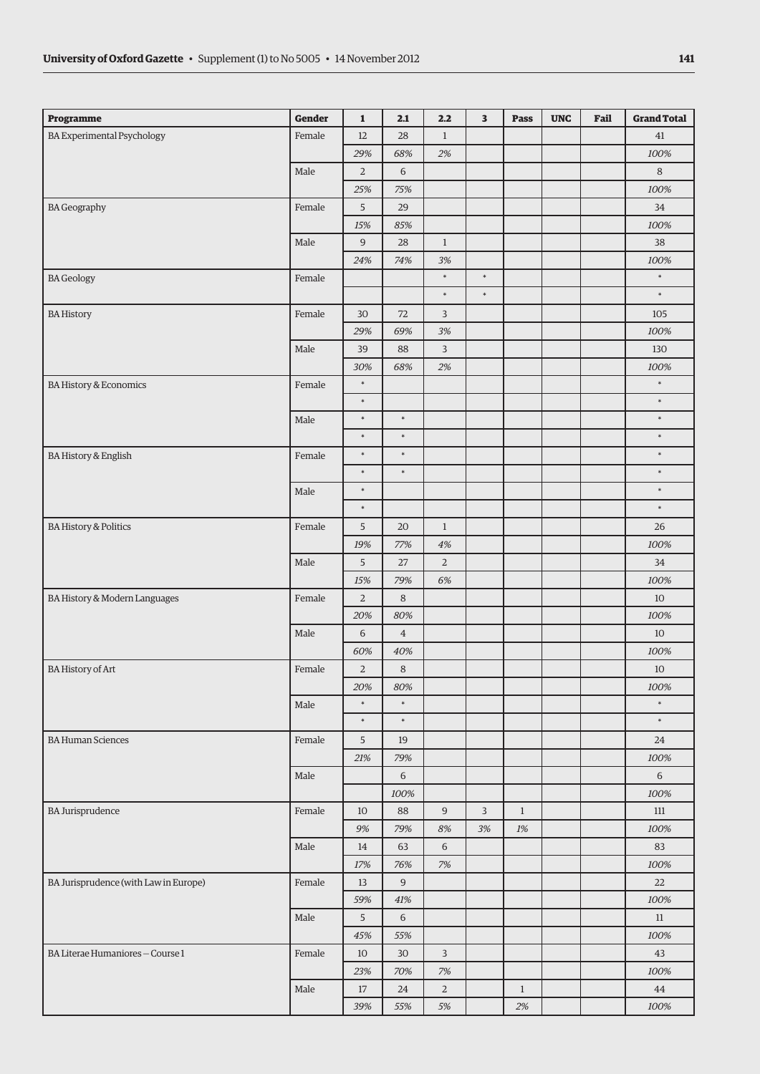| <b>Programme</b>                      | Gender | $\mathbf{1}$    | 2.1            | 2.2            | 3              | Pass         | <b>UNC</b> | Fail | <b>Grand Total</b> |
|---------------------------------------|--------|-----------------|----------------|----------------|----------------|--------------|------------|------|--------------------|
| <b>BA Experimental Psychology</b>     | Female | 12              | 28             | $\mathbf{1}$   |                |              |            |      | 41                 |
|                                       |        | 29%             | 68%            | $2\%$          |                |              |            |      | 100%               |
|                                       | Male   | $\overline{2}$  | 6              |                |                |              |            |      | $8\,$              |
|                                       |        | 25%             | 75%            |                |                |              |            |      | 100%               |
| <b>BA Geography</b>                   | Female | 5               | 29             |                |                |              |            |      | 34                 |
|                                       |        | 15%             | 85%            |                |                |              |            |      | 100%               |
|                                       | Male   | $\overline{9}$  | 28             | $\mathbf{1}$   |                |              |            |      | 38                 |
|                                       |        | 24%             | 74%            | $3\%$          |                |              |            |      | 100%               |
| <b>BA</b> Geology                     | Female |                 |                | $\ast$         | $\ast$         |              |            |      | $\ast$             |
|                                       |        |                 |                | $\ast$         | $\ast$         |              |            |      | $\ast$             |
| <b>BA History</b>                     | Female | 30              | 72             | 3              |                |              |            |      | 105                |
|                                       |        | 29%             | 69%            | $3\%$          |                |              |            |      | 100%               |
|                                       | Male   | 39              | 88             | $\mathsf{3}$   |                |              |            |      | 130                |
|                                       |        | 30%             | 68%            | 2%             |                |              |            |      | 100%               |
| <b>BA History &amp; Economics</b>     | Female | $\ast$          |                |                |                |              |            |      | $\ast$             |
|                                       |        | $\ast$          |                |                |                |              |            |      | $\ast$             |
|                                       | Male   | ×               | $\ast$         |                |                |              |            |      | $\ast$             |
|                                       |        | $\ast$          | $\ast$         |                |                |              |            |      | $\ast$             |
| <b>BA History &amp; English</b>       | Female | $\ast$          | $\ast$         |                |                |              |            |      | $\ast$             |
|                                       |        | $\ast$          | $\ast$         |                |                |              |            |      | $\ast$             |
|                                       | Male   | $\ast$          |                |                |                |              |            |      | $\ast$             |
|                                       |        | $\ast$          |                |                |                |              |            |      | $\ast$             |
| <b>BA History &amp; Politics</b>      | Female | $\overline{5}$  | 20             | $1\,$          |                |              |            |      | $26\,$             |
|                                       |        | 19%             | 77%            | $4\%$          |                |              |            |      | 100%               |
|                                       | Male   | 5               | $27\,$         | $\overline{a}$ |                |              |            |      | 34                 |
|                                       |        | 15%             | 79%            | $6\%$          |                |              |            |      | 100%               |
| BA History & Modern Languages         | Female | $\sqrt{2}$      | $\,8\,$        |                |                |              |            |      | 10                 |
|                                       |        | 20%             | 80%            |                |                |              |            |      | 100%               |
|                                       | Male   | $\sqrt{6}$      | $\overline{4}$ |                |                |              |            |      | $10\,$             |
|                                       |        | 60%             | 40%            |                |                |              |            |      | 100%               |
| BA History of Art                     | Female | $\overline{2}$  | $\,8\,$        |                |                |              |            |      | 10                 |
|                                       |        | $20\%$          | 80%            |                |                |              |            |      | 100%               |
|                                       | Male   | $\ast$          | $\ast$         |                |                |              |            |      | $\ast$             |
|                                       |        | $\ast$          | $\ast$         |                |                |              |            |      | $\ast$             |
| <b>BA Human Sciences</b>              | Female | 5               | 19             |                |                |              |            |      | 24                 |
|                                       |        | 21%             | 79%            |                |                |              |            |      | 100%               |
|                                       | Male   |                 | 6              |                |                |              |            |      | 6                  |
|                                       |        |                 | 100%           |                |                |              |            |      | 100%               |
| <b>BA Jurisprudence</b>               | Female | 10              | 88             | $\overline{9}$ | $\overline{3}$ | $\mathbf{1}$ |            |      | 111                |
|                                       |        | 9%              | 79%            | $8\%$          | 3%             | $1\%$        |            |      | 100%               |
|                                       | Male   | 14              | 63             | $\sqrt{6}$     |                |              |            |      | 83                 |
|                                       |        | 17%             | 76%            | $7%$           |                |              |            |      | 100%               |
| BA Jurisprudence (with Law in Europe) | Female | 13              | 9              |                |                |              |            |      | 22                 |
|                                       |        | 59%             | 41%            |                |                |              |            |      | 100%               |
|                                       | Male   | $5\overline{)}$ | 6              |                |                |              |            |      | 11                 |
|                                       |        |                 |                |                |                |              |            |      |                    |
|                                       |        | 45%             | 55%            |                |                |              |            |      | 100%               |
| BA Literae Humaniores - Course 1      | Female | $10\,$          | 30             | 3              |                |              |            |      | 43                 |
|                                       |        | 23%             | 70%            | $7%$           |                |              |            |      | 100%               |
|                                       | Male   | 17              | 24             | $\overline{2}$ |                | $\mathbf{1}$ |            |      | 44                 |
|                                       |        | 39%             | 55%            | $5\%$          |                | 2%           |            |      | 100%               |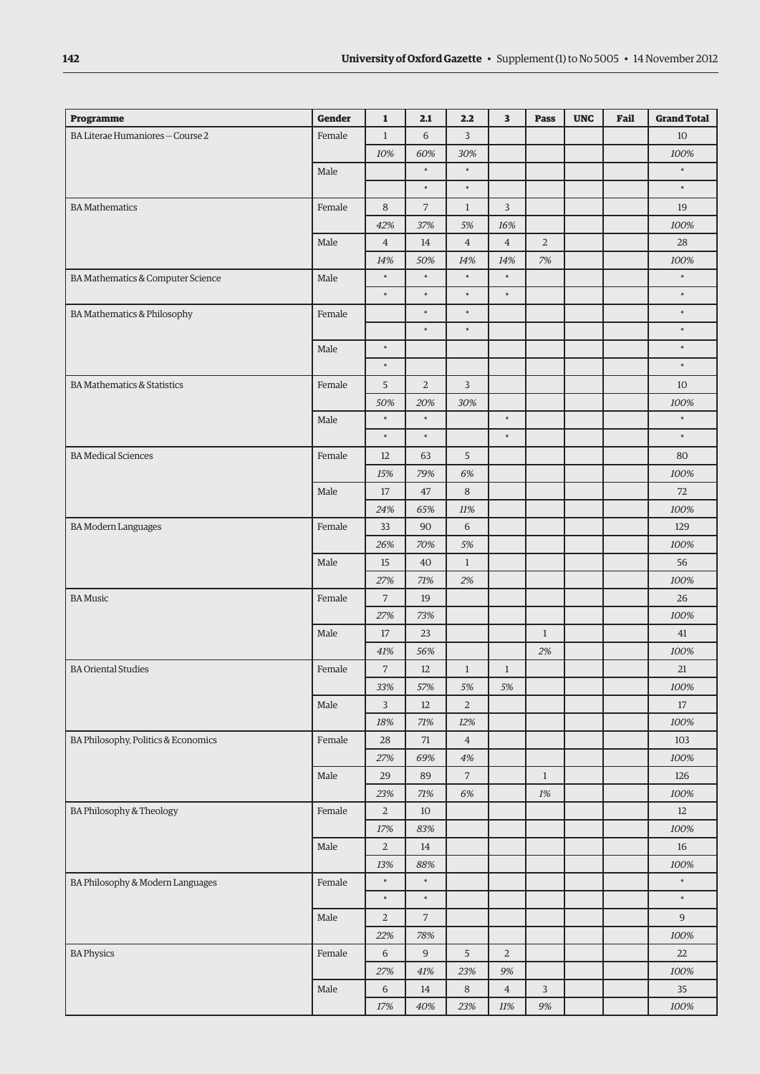| BA Literae Humaniores - Course 2<br>Female<br>6<br>$\overline{3}$<br>$\mathbf{1}$<br>10<br>10%<br>60%<br>30%<br>100%<br>$\ast$<br>$\ast$<br>Male<br>$\ast$<br>$\ast$<br>$\ast$<br>$\ast$<br><b>BA</b> Mathematics<br>Female<br>8<br>7<br>$\mathbf{1}$<br>3<br>19<br>100%<br>42%<br>37%<br>5%<br>16%<br>Male<br>$\overline{4}$<br>$\overline{4}$<br>$\overline{2}$<br>$\overline{4}$<br>14<br>28<br>50%<br>14%<br>14%<br>7%<br>100%<br>14%<br>$\ast$<br>$\ast$<br>$\ast$<br>$\ast$<br>$\ast$<br>BA Mathematics & Computer Science<br>Male<br>$\ast$<br>$\ast$<br>$\ast$<br>$\ast$<br>$\ast$<br>$\ast$<br>$\ast$<br>$\ast$<br><b>BA Mathematics &amp; Philosophy</b><br>Female<br>$\ast$<br>$\ast$<br>$\ast$<br>$\ast$<br>$\ast$<br>Male<br>$\ast$<br>$\ast$<br><b>BA Mathematics &amp; Statistics</b><br>Female<br>5<br>$\overline{2}$<br>3<br>10<br>50%<br>20%<br>30%<br>100%<br>$\ast$<br>$\ast$<br>$\ast$<br>$\ast$<br>Male<br>$\ast$<br>$\ast$<br>$\ast$<br>$\ast$<br><b>BA Medical Sciences</b><br>Female<br>5<br>12<br>63<br>80<br>15%<br>79%<br>6%<br>100%<br>Male<br>47<br>8<br>72<br>17<br>24%<br>65%<br>11%<br>100%<br>Female<br>6<br><b>BA Modern Languages</b><br>33<br>90<br>129<br>26%<br>70%<br>5%<br>100%<br>Male<br>15<br>40<br>$\mathbf{1}$<br>56<br>27%<br>71%<br>2%<br>100%<br>Female<br><b>BA Music</b><br>$\overline{7}$<br>19<br>26<br>27%<br>73%<br>100%<br>Male<br>$17\,$<br>23<br>$\mathbf{1}$<br>41<br>41%<br>56%<br>2%<br>100%<br><b>BA Oriental Studies</b><br>$\sqrt{ }$<br>Female<br>12<br>$\mathbf{1}$<br>21<br>$\mathbf{1}$<br>33%<br>57%<br>5%<br>$5\%$<br>100%<br>Male<br>12<br>$\overline{2}$<br>$17\,$<br>3<br>100%<br>18%<br>71%<br>12%<br>BA Philosophy, Politics & Economics<br>Female<br>$71\,$<br>$\bf{4}$<br>28<br>103<br>69%<br>27%<br>4%<br>100%<br>Male<br>29<br>89<br>7<br>$\mathbf{1}$<br>126<br>23%<br>$71\%$<br>6%<br>$1\%$<br>100%<br>BA Philosophy & Theology<br>Female<br>$\overline{2}$<br>$10\,$<br>$12\,$<br>100%<br>17%<br>83%<br>Male<br>$\sqrt{2}$<br>14<br>16<br>88%<br>13%<br>100%<br>$\ast$<br>$\ast$<br>$\ast$<br>Female<br>BA Philosophy & Modern Languages<br>$\ast$<br>$\ast$<br>$\ast$<br>$\overline{7}$<br>Male<br>$\overline{2}$<br>9<br>22%<br>78%<br>100%<br>Female<br><b>BA Physics</b><br>$\boldsymbol{9}$<br>5<br>$\overline{2}$<br>6<br>22<br>27%<br>41%<br>23%<br>9%<br>100%<br>Male<br>6<br>14<br>$\,8\,$<br>$\,4$<br>3<br>$35\,$ | <b>Programme</b> | <b>Gender</b> | $\mathbf{1}$ | 2.1 | 2.2 | 3      | <b>Pass</b> | <b>UNC</b> | Fail | <b>Grand Total</b> |
|---------------------------------------------------------------------------------------------------------------------------------------------------------------------------------------------------------------------------------------------------------------------------------------------------------------------------------------------------------------------------------------------------------------------------------------------------------------------------------------------------------------------------------------------------------------------------------------------------------------------------------------------------------------------------------------------------------------------------------------------------------------------------------------------------------------------------------------------------------------------------------------------------------------------------------------------------------------------------------------------------------------------------------------------------------------------------------------------------------------------------------------------------------------------------------------------------------------------------------------------------------------------------------------------------------------------------------------------------------------------------------------------------------------------------------------------------------------------------------------------------------------------------------------------------------------------------------------------------------------------------------------------------------------------------------------------------------------------------------------------------------------------------------------------------------------------------------------------------------------------------------------------------------------------------------------------------------------------------------------------------------------------------------------------------------------------------------------------------------------------------------------------------------------------------------------------------------------------------------------------------------------------------------------------------------------------------------------------------------------------------------------------------------------|------------------|---------------|--------------|-----|-----|--------|-------------|------------|------|--------------------|
|                                                                                                                                                                                                                                                                                                                                                                                                                                                                                                                                                                                                                                                                                                                                                                                                                                                                                                                                                                                                                                                                                                                                                                                                                                                                                                                                                                                                                                                                                                                                                                                                                                                                                                                                                                                                                                                                                                                                                                                                                                                                                                                                                                                                                                                                                                                                                                                                               |                  |               |              |     |     |        |             |            |      |                    |
|                                                                                                                                                                                                                                                                                                                                                                                                                                                                                                                                                                                                                                                                                                                                                                                                                                                                                                                                                                                                                                                                                                                                                                                                                                                                                                                                                                                                                                                                                                                                                                                                                                                                                                                                                                                                                                                                                                                                                                                                                                                                                                                                                                                                                                                                                                                                                                                                               |                  |               |              |     |     |        |             |            |      |                    |
|                                                                                                                                                                                                                                                                                                                                                                                                                                                                                                                                                                                                                                                                                                                                                                                                                                                                                                                                                                                                                                                                                                                                                                                                                                                                                                                                                                                                                                                                                                                                                                                                                                                                                                                                                                                                                                                                                                                                                                                                                                                                                                                                                                                                                                                                                                                                                                                                               |                  |               |              |     |     |        |             |            |      |                    |
|                                                                                                                                                                                                                                                                                                                                                                                                                                                                                                                                                                                                                                                                                                                                                                                                                                                                                                                                                                                                                                                                                                                                                                                                                                                                                                                                                                                                                                                                                                                                                                                                                                                                                                                                                                                                                                                                                                                                                                                                                                                                                                                                                                                                                                                                                                                                                                                                               |                  |               |              |     |     |        |             |            |      |                    |
|                                                                                                                                                                                                                                                                                                                                                                                                                                                                                                                                                                                                                                                                                                                                                                                                                                                                                                                                                                                                                                                                                                                                                                                                                                                                                                                                                                                                                                                                                                                                                                                                                                                                                                                                                                                                                                                                                                                                                                                                                                                                                                                                                                                                                                                                                                                                                                                                               |                  |               |              |     |     |        |             |            |      |                    |
|                                                                                                                                                                                                                                                                                                                                                                                                                                                                                                                                                                                                                                                                                                                                                                                                                                                                                                                                                                                                                                                                                                                                                                                                                                                                                                                                                                                                                                                                                                                                                                                                                                                                                                                                                                                                                                                                                                                                                                                                                                                                                                                                                                                                                                                                                                                                                                                                               |                  |               |              |     |     |        |             |            |      |                    |
|                                                                                                                                                                                                                                                                                                                                                                                                                                                                                                                                                                                                                                                                                                                                                                                                                                                                                                                                                                                                                                                                                                                                                                                                                                                                                                                                                                                                                                                                                                                                                                                                                                                                                                                                                                                                                                                                                                                                                                                                                                                                                                                                                                                                                                                                                                                                                                                                               |                  |               |              |     |     |        |             |            |      |                    |
|                                                                                                                                                                                                                                                                                                                                                                                                                                                                                                                                                                                                                                                                                                                                                                                                                                                                                                                                                                                                                                                                                                                                                                                                                                                                                                                                                                                                                                                                                                                                                                                                                                                                                                                                                                                                                                                                                                                                                                                                                                                                                                                                                                                                                                                                                                                                                                                                               |                  |               |              |     |     |        |             |            |      |                    |
|                                                                                                                                                                                                                                                                                                                                                                                                                                                                                                                                                                                                                                                                                                                                                                                                                                                                                                                                                                                                                                                                                                                                                                                                                                                                                                                                                                                                                                                                                                                                                                                                                                                                                                                                                                                                                                                                                                                                                                                                                                                                                                                                                                                                                                                                                                                                                                                                               |                  |               |              |     |     |        |             |            |      |                    |
|                                                                                                                                                                                                                                                                                                                                                                                                                                                                                                                                                                                                                                                                                                                                                                                                                                                                                                                                                                                                                                                                                                                                                                                                                                                                                                                                                                                                                                                                                                                                                                                                                                                                                                                                                                                                                                                                                                                                                                                                                                                                                                                                                                                                                                                                                                                                                                                                               |                  |               |              |     |     |        |             |            |      |                    |
|                                                                                                                                                                                                                                                                                                                                                                                                                                                                                                                                                                                                                                                                                                                                                                                                                                                                                                                                                                                                                                                                                                                                                                                                                                                                                                                                                                                                                                                                                                                                                                                                                                                                                                                                                                                                                                                                                                                                                                                                                                                                                                                                                                                                                                                                                                                                                                                                               |                  |               |              |     |     |        |             |            |      |                    |
|                                                                                                                                                                                                                                                                                                                                                                                                                                                                                                                                                                                                                                                                                                                                                                                                                                                                                                                                                                                                                                                                                                                                                                                                                                                                                                                                                                                                                                                                                                                                                                                                                                                                                                                                                                                                                                                                                                                                                                                                                                                                                                                                                                                                                                                                                                                                                                                                               |                  |               |              |     |     |        |             |            |      |                    |
|                                                                                                                                                                                                                                                                                                                                                                                                                                                                                                                                                                                                                                                                                                                                                                                                                                                                                                                                                                                                                                                                                                                                                                                                                                                                                                                                                                                                                                                                                                                                                                                                                                                                                                                                                                                                                                                                                                                                                                                                                                                                                                                                                                                                                                                                                                                                                                                                               |                  |               |              |     |     |        |             |            |      |                    |
|                                                                                                                                                                                                                                                                                                                                                                                                                                                                                                                                                                                                                                                                                                                                                                                                                                                                                                                                                                                                                                                                                                                                                                                                                                                                                                                                                                                                                                                                                                                                                                                                                                                                                                                                                                                                                                                                                                                                                                                                                                                                                                                                                                                                                                                                                                                                                                                                               |                  |               |              |     |     |        |             |            |      |                    |
|                                                                                                                                                                                                                                                                                                                                                                                                                                                                                                                                                                                                                                                                                                                                                                                                                                                                                                                                                                                                                                                                                                                                                                                                                                                                                                                                                                                                                                                                                                                                                                                                                                                                                                                                                                                                                                                                                                                                                                                                                                                                                                                                                                                                                                                                                                                                                                                                               |                  |               |              |     |     |        |             |            |      |                    |
|                                                                                                                                                                                                                                                                                                                                                                                                                                                                                                                                                                                                                                                                                                                                                                                                                                                                                                                                                                                                                                                                                                                                                                                                                                                                                                                                                                                                                                                                                                                                                                                                                                                                                                                                                                                                                                                                                                                                                                                                                                                                                                                                                                                                                                                                                                                                                                                                               |                  |               |              |     |     |        |             |            |      |                    |
|                                                                                                                                                                                                                                                                                                                                                                                                                                                                                                                                                                                                                                                                                                                                                                                                                                                                                                                                                                                                                                                                                                                                                                                                                                                                                                                                                                                                                                                                                                                                                                                                                                                                                                                                                                                                                                                                                                                                                                                                                                                                                                                                                                                                                                                                                                                                                                                                               |                  |               |              |     |     |        |             |            |      |                    |
|                                                                                                                                                                                                                                                                                                                                                                                                                                                                                                                                                                                                                                                                                                                                                                                                                                                                                                                                                                                                                                                                                                                                                                                                                                                                                                                                                                                                                                                                                                                                                                                                                                                                                                                                                                                                                                                                                                                                                                                                                                                                                                                                                                                                                                                                                                                                                                                                               |                  |               |              |     |     |        |             |            |      |                    |
|                                                                                                                                                                                                                                                                                                                                                                                                                                                                                                                                                                                                                                                                                                                                                                                                                                                                                                                                                                                                                                                                                                                                                                                                                                                                                                                                                                                                                                                                                                                                                                                                                                                                                                                                                                                                                                                                                                                                                                                                                                                                                                                                                                                                                                                                                                                                                                                                               |                  |               |              |     |     |        |             |            |      |                    |
|                                                                                                                                                                                                                                                                                                                                                                                                                                                                                                                                                                                                                                                                                                                                                                                                                                                                                                                                                                                                                                                                                                                                                                                                                                                                                                                                                                                                                                                                                                                                                                                                                                                                                                                                                                                                                                                                                                                                                                                                                                                                                                                                                                                                                                                                                                                                                                                                               |                  |               |              |     |     |        |             |            |      |                    |
|                                                                                                                                                                                                                                                                                                                                                                                                                                                                                                                                                                                                                                                                                                                                                                                                                                                                                                                                                                                                                                                                                                                                                                                                                                                                                                                                                                                                                                                                                                                                                                                                                                                                                                                                                                                                                                                                                                                                                                                                                                                                                                                                                                                                                                                                                                                                                                                                               |                  |               |              |     |     |        |             |            |      |                    |
|                                                                                                                                                                                                                                                                                                                                                                                                                                                                                                                                                                                                                                                                                                                                                                                                                                                                                                                                                                                                                                                                                                                                                                                                                                                                                                                                                                                                                                                                                                                                                                                                                                                                                                                                                                                                                                                                                                                                                                                                                                                                                                                                                                                                                                                                                                                                                                                                               |                  |               |              |     |     |        |             |            |      |                    |
|                                                                                                                                                                                                                                                                                                                                                                                                                                                                                                                                                                                                                                                                                                                                                                                                                                                                                                                                                                                                                                                                                                                                                                                                                                                                                                                                                                                                                                                                                                                                                                                                                                                                                                                                                                                                                                                                                                                                                                                                                                                                                                                                                                                                                                                                                                                                                                                                               |                  |               |              |     |     |        |             |            |      |                    |
|                                                                                                                                                                                                                                                                                                                                                                                                                                                                                                                                                                                                                                                                                                                                                                                                                                                                                                                                                                                                                                                                                                                                                                                                                                                                                                                                                                                                                                                                                                                                                                                                                                                                                                                                                                                                                                                                                                                                                                                                                                                                                                                                                                                                                                                                                                                                                                                                               |                  |               |              |     |     |        |             |            |      |                    |
|                                                                                                                                                                                                                                                                                                                                                                                                                                                                                                                                                                                                                                                                                                                                                                                                                                                                                                                                                                                                                                                                                                                                                                                                                                                                                                                                                                                                                                                                                                                                                                                                                                                                                                                                                                                                                                                                                                                                                                                                                                                                                                                                                                                                                                                                                                                                                                                                               |                  |               |              |     |     |        |             |            |      |                    |
|                                                                                                                                                                                                                                                                                                                                                                                                                                                                                                                                                                                                                                                                                                                                                                                                                                                                                                                                                                                                                                                                                                                                                                                                                                                                                                                                                                                                                                                                                                                                                                                                                                                                                                                                                                                                                                                                                                                                                                                                                                                                                                                                                                                                                                                                                                                                                                                                               |                  |               |              |     |     |        |             |            |      |                    |
|                                                                                                                                                                                                                                                                                                                                                                                                                                                                                                                                                                                                                                                                                                                                                                                                                                                                                                                                                                                                                                                                                                                                                                                                                                                                                                                                                                                                                                                                                                                                                                                                                                                                                                                                                                                                                                                                                                                                                                                                                                                                                                                                                                                                                                                                                                                                                                                                               |                  |               |              |     |     |        |             |            |      |                    |
|                                                                                                                                                                                                                                                                                                                                                                                                                                                                                                                                                                                                                                                                                                                                                                                                                                                                                                                                                                                                                                                                                                                                                                                                                                                                                                                                                                                                                                                                                                                                                                                                                                                                                                                                                                                                                                                                                                                                                                                                                                                                                                                                                                                                                                                                                                                                                                                                               |                  |               |              |     |     |        |             |            |      |                    |
|                                                                                                                                                                                                                                                                                                                                                                                                                                                                                                                                                                                                                                                                                                                                                                                                                                                                                                                                                                                                                                                                                                                                                                                                                                                                                                                                                                                                                                                                                                                                                                                                                                                                                                                                                                                                                                                                                                                                                                                                                                                                                                                                                                                                                                                                                                                                                                                                               |                  |               |              |     |     |        |             |            |      |                    |
|                                                                                                                                                                                                                                                                                                                                                                                                                                                                                                                                                                                                                                                                                                                                                                                                                                                                                                                                                                                                                                                                                                                                                                                                                                                                                                                                                                                                                                                                                                                                                                                                                                                                                                                                                                                                                                                                                                                                                                                                                                                                                                                                                                                                                                                                                                                                                                                                               |                  |               |              |     |     |        |             |            |      |                    |
|                                                                                                                                                                                                                                                                                                                                                                                                                                                                                                                                                                                                                                                                                                                                                                                                                                                                                                                                                                                                                                                                                                                                                                                                                                                                                                                                                                                                                                                                                                                                                                                                                                                                                                                                                                                                                                                                                                                                                                                                                                                                                                                                                                                                                                                                                                                                                                                                               |                  |               |              |     |     |        |             |            |      |                    |
|                                                                                                                                                                                                                                                                                                                                                                                                                                                                                                                                                                                                                                                                                                                                                                                                                                                                                                                                                                                                                                                                                                                                                                                                                                                                                                                                                                                                                                                                                                                                                                                                                                                                                                                                                                                                                                                                                                                                                                                                                                                                                                                                                                                                                                                                                                                                                                                                               |                  |               |              |     |     |        |             |            |      |                    |
|                                                                                                                                                                                                                                                                                                                                                                                                                                                                                                                                                                                                                                                                                                                                                                                                                                                                                                                                                                                                                                                                                                                                                                                                                                                                                                                                                                                                                                                                                                                                                                                                                                                                                                                                                                                                                                                                                                                                                                                                                                                                                                                                                                                                                                                                                                                                                                                                               |                  |               |              |     |     |        |             |            |      |                    |
|                                                                                                                                                                                                                                                                                                                                                                                                                                                                                                                                                                                                                                                                                                                                                                                                                                                                                                                                                                                                                                                                                                                                                                                                                                                                                                                                                                                                                                                                                                                                                                                                                                                                                                                                                                                                                                                                                                                                                                                                                                                                                                                                                                                                                                                                                                                                                                                                               |                  |               |              |     |     |        |             |            |      |                    |
|                                                                                                                                                                                                                                                                                                                                                                                                                                                                                                                                                                                                                                                                                                                                                                                                                                                                                                                                                                                                                                                                                                                                                                                                                                                                                                                                                                                                                                                                                                                                                                                                                                                                                                                                                                                                                                                                                                                                                                                                                                                                                                                                                                                                                                                                                                                                                                                                               |                  |               |              |     |     |        |             |            |      |                    |
|                                                                                                                                                                                                                                                                                                                                                                                                                                                                                                                                                                                                                                                                                                                                                                                                                                                                                                                                                                                                                                                                                                                                                                                                                                                                                                                                                                                                                                                                                                                                                                                                                                                                                                                                                                                                                                                                                                                                                                                                                                                                                                                                                                                                                                                                                                                                                                                                               |                  |               |              |     |     |        |             |            |      |                    |
|                                                                                                                                                                                                                                                                                                                                                                                                                                                                                                                                                                                                                                                                                                                                                                                                                                                                                                                                                                                                                                                                                                                                                                                                                                                                                                                                                                                                                                                                                                                                                                                                                                                                                                                                                                                                                                                                                                                                                                                                                                                                                                                                                                                                                                                                                                                                                                                                               |                  |               |              |     |     |        |             |            |      |                    |
|                                                                                                                                                                                                                                                                                                                                                                                                                                                                                                                                                                                                                                                                                                                                                                                                                                                                                                                                                                                                                                                                                                                                                                                                                                                                                                                                                                                                                                                                                                                                                                                                                                                                                                                                                                                                                                                                                                                                                                                                                                                                                                                                                                                                                                                                                                                                                                                                               |                  |               |              |     |     |        |             |            |      |                    |
|                                                                                                                                                                                                                                                                                                                                                                                                                                                                                                                                                                                                                                                                                                                                                                                                                                                                                                                                                                                                                                                                                                                                                                                                                                                                                                                                                                                                                                                                                                                                                                                                                                                                                                                                                                                                                                                                                                                                                                                                                                                                                                                                                                                                                                                                                                                                                                                                               |                  |               |              |     |     |        |             |            |      |                    |
|                                                                                                                                                                                                                                                                                                                                                                                                                                                                                                                                                                                                                                                                                                                                                                                                                                                                                                                                                                                                                                                                                                                                                                                                                                                                                                                                                                                                                                                                                                                                                                                                                                                                                                                                                                                                                                                                                                                                                                                                                                                                                                                                                                                                                                                                                                                                                                                                               |                  |               |              |     |     |        |             |            |      |                    |
|                                                                                                                                                                                                                                                                                                                                                                                                                                                                                                                                                                                                                                                                                                                                                                                                                                                                                                                                                                                                                                                                                                                                                                                                                                                                                                                                                                                                                                                                                                                                                                                                                                                                                                                                                                                                                                                                                                                                                                                                                                                                                                                                                                                                                                                                                                                                                                                                               |                  |               |              |     |     |        |             |            |      |                    |
|                                                                                                                                                                                                                                                                                                                                                                                                                                                                                                                                                                                                                                                                                                                                                                                                                                                                                                                                                                                                                                                                                                                                                                                                                                                                                                                                                                                                                                                                                                                                                                                                                                                                                                                                                                                                                                                                                                                                                                                                                                                                                                                                                                                                                                                                                                                                                                                                               |                  |               |              |     |     |        |             |            |      |                    |
|                                                                                                                                                                                                                                                                                                                                                                                                                                                                                                                                                                                                                                                                                                                                                                                                                                                                                                                                                                                                                                                                                                                                                                                                                                                                                                                                                                                                                                                                                                                                                                                                                                                                                                                                                                                                                                                                                                                                                                                                                                                                                                                                                                                                                                                                                                                                                                                                               |                  |               |              |     |     |        |             |            |      |                    |
|                                                                                                                                                                                                                                                                                                                                                                                                                                                                                                                                                                                                                                                                                                                                                                                                                                                                                                                                                                                                                                                                                                                                                                                                                                                                                                                                                                                                                                                                                                                                                                                                                                                                                                                                                                                                                                                                                                                                                                                                                                                                                                                                                                                                                                                                                                                                                                                                               |                  |               |              |     |     |        |             |            |      |                    |
|                                                                                                                                                                                                                                                                                                                                                                                                                                                                                                                                                                                                                                                                                                                                                                                                                                                                                                                                                                                                                                                                                                                                                                                                                                                                                                                                                                                                                                                                                                                                                                                                                                                                                                                                                                                                                                                                                                                                                                                                                                                                                                                                                                                                                                                                                                                                                                                                               |                  |               |              |     |     |        |             |            |      |                    |
|                                                                                                                                                                                                                                                                                                                                                                                                                                                                                                                                                                                                                                                                                                                                                                                                                                                                                                                                                                                                                                                                                                                                                                                                                                                                                                                                                                                                                                                                                                                                                                                                                                                                                                                                                                                                                                                                                                                                                                                                                                                                                                                                                                                                                                                                                                                                                                                                               |                  |               |              |     |     |        |             |            |      |                    |
|                                                                                                                                                                                                                                                                                                                                                                                                                                                                                                                                                                                                                                                                                                                                                                                                                                                                                                                                                                                                                                                                                                                                                                                                                                                                                                                                                                                                                                                                                                                                                                                                                                                                                                                                                                                                                                                                                                                                                                                                                                                                                                                                                                                                                                                                                                                                                                                                               |                  |               |              |     |     |        |             |            |      |                    |
|                                                                                                                                                                                                                                                                                                                                                                                                                                                                                                                                                                                                                                                                                                                                                                                                                                                                                                                                                                                                                                                                                                                                                                                                                                                                                                                                                                                                                                                                                                                                                                                                                                                                                                                                                                                                                                                                                                                                                                                                                                                                                                                                                                                                                                                                                                                                                                                                               |                  |               |              |     |     |        |             |            |      |                    |
|                                                                                                                                                                                                                                                                                                                                                                                                                                                                                                                                                                                                                                                                                                                                                                                                                                                                                                                                                                                                                                                                                                                                                                                                                                                                                                                                                                                                                                                                                                                                                                                                                                                                                                                                                                                                                                                                                                                                                                                                                                                                                                                                                                                                                                                                                                                                                                                                               |                  |               |              |     |     |        |             |            |      |                    |
|                                                                                                                                                                                                                                                                                                                                                                                                                                                                                                                                                                                                                                                                                                                                                                                                                                                                                                                                                                                                                                                                                                                                                                                                                                                                                                                                                                                                                                                                                                                                                                                                                                                                                                                                                                                                                                                                                                                                                                                                                                                                                                                                                                                                                                                                                                                                                                                                               |                  |               | 17%          | 40% | 23% | $11\%$ | $9\%$       |            |      | $100\%$            |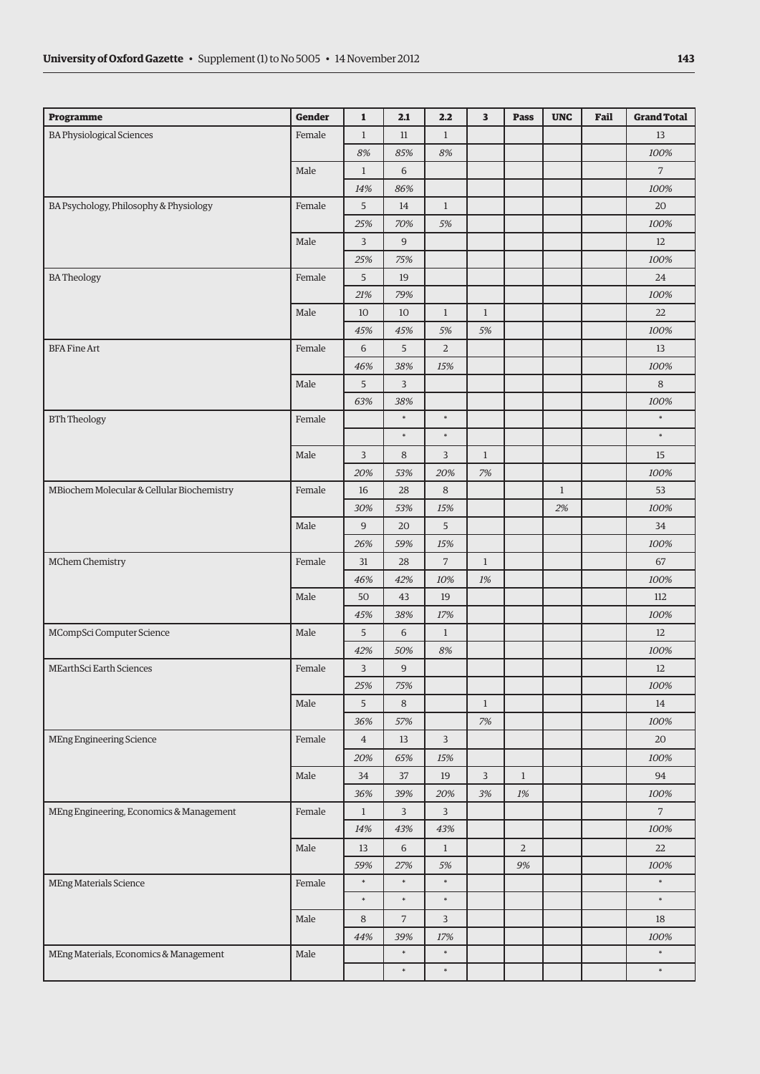| <b>BA Physiological Sciences</b><br>Female<br>11<br>$\mathbf{1}$<br>13<br>$\mathbf{1}$<br>8%<br>85%<br>$8\%$<br>100%<br>Male<br>$\overline{7}$<br>$\mathbf{1}$<br>6<br>14%<br>86%<br>100%<br>BA Psychology, Philosophy & Physiology<br>Female<br>5<br>14<br>$\mathbf{1}$<br>20<br>70%<br>25%<br>5%<br>100%<br>$\overline{9}$<br>Male<br>$\overline{3}$<br>12<br>75%<br>100%<br>25%<br><b>BATheology</b><br>Female<br>5<br>19<br>24<br>79%<br>21%<br>100%<br>Male<br>$\mathbf{1}$<br>$\mathbf{1}$<br>10<br>10<br>22<br>45%<br>45%<br>5%<br>5%<br>100%<br>5<br>$\overline{a}$<br><b>BFA Fine Art</b><br>Female<br>6<br>13<br>38%<br>15%<br>100%<br>46%<br>Male<br>5<br>3<br>8<br>63%<br>38%<br>100%<br>$\ast$<br>$\ast$<br>$\ast$<br><b>BTh Theology</b><br>Female<br>$\ast$<br>$\ast$<br>$\ast$<br>Male<br>3<br>8<br>3<br>$\mathbf{1}$<br>15<br>20%<br>53%<br>20%<br>$7%$<br>100%<br>MBiochem Molecular & Cellular Biochemistry<br>Female<br>28<br>8<br>$\mathbf{1}$<br>53<br>16<br>30%<br>53%<br>15%<br>2%<br>100%<br>5<br>Male<br>9<br>20<br>34<br>26%<br>59%<br>$15\%$<br>100%<br>$\sqrt{ }$<br>MChem Chemistry<br>Female<br>31<br>28<br>$\mathbf{1}$<br>67<br>46%<br>42%<br>10%<br>1%<br>100%<br>Male<br>43<br>19<br>112<br>50<br>38%<br>$17\%$<br>100%<br>45%<br>5<br>$\,$ 6 $\,$<br>MCompSci Computer Science<br>Male<br>$\mathbf{1}$<br>12<br>42%<br>50%<br>8%<br>100%<br>9<br>MEarthSci Earth Sciences<br>Female<br>3<br>12<br>$25\%$<br>100%<br>75%<br>8<br>Male<br>5<br>$\mathbf{1}$<br>14<br>100%<br>36%<br>57%<br>$7%$<br>$\overline{3}$<br><b>MEng Engineering Science</b><br>Female<br>$\overline{4}$<br>13<br>20<br>20%<br>65%<br>100%<br>15%<br>Male<br>37<br>$\mathsf{3}$<br>94<br>34<br>19<br>$\mathbf{1}$<br>36%<br>39%<br>20%<br>3%<br>1%<br>100%<br>MEng Engineering, Economics & Management<br>Female<br>3<br>3<br>$\overline{7}$<br>$\mathbf{1}$<br>100%<br>14%<br>43%<br>43%<br>Male<br>6<br>$\overline{2}$<br>13<br>$\mathbf{1}$<br>22<br>59%<br>27%<br>9%<br>5%<br>100%<br>$\ast$<br>$\ast$<br>$\ast$<br>$\ast$<br>MEng Materials Science<br>Female<br>$\ast$<br>$\ast$<br>$\ast$<br>$\ast$<br>Male<br>$\overline{7}$<br>$\overline{3}$<br>8<br>18<br>44%<br>39%<br>$17\%$<br>100%<br>$\ast$<br>$\ast$<br>$\ast$<br>Male<br>MEng Materials, Economics & Management<br>$\ast$<br>$\ast$<br>$\ast$ | Programme | Gender | $\mathbf{1}$ | 2.1 | 2.2 | 3 | <b>Pass</b> | <b>UNC</b> | Fail | <b>Grand Total</b> |
|---------------------------------------------------------------------------------------------------------------------------------------------------------------------------------------------------------------------------------------------------------------------------------------------------------------------------------------------------------------------------------------------------------------------------------------------------------------------------------------------------------------------------------------------------------------------------------------------------------------------------------------------------------------------------------------------------------------------------------------------------------------------------------------------------------------------------------------------------------------------------------------------------------------------------------------------------------------------------------------------------------------------------------------------------------------------------------------------------------------------------------------------------------------------------------------------------------------------------------------------------------------------------------------------------------------------------------------------------------------------------------------------------------------------------------------------------------------------------------------------------------------------------------------------------------------------------------------------------------------------------------------------------------------------------------------------------------------------------------------------------------------------------------------------------------------------------------------------------------------------------------------------------------------------------------------------------------------------------------------------------------------------------------------------------------------------------------------------------------------------------------------------------------------------------------------------------------------------------------------------------------------------------------------------------------------------------|-----------|--------|--------------|-----|-----|---|-------------|------------|------|--------------------|
|                                                                                                                                                                                                                                                                                                                                                                                                                                                                                                                                                                                                                                                                                                                                                                                                                                                                                                                                                                                                                                                                                                                                                                                                                                                                                                                                                                                                                                                                                                                                                                                                                                                                                                                                                                                                                                                                                                                                                                                                                                                                                                                                                                                                                                                                                                                           |           |        |              |     |     |   |             |            |      |                    |
|                                                                                                                                                                                                                                                                                                                                                                                                                                                                                                                                                                                                                                                                                                                                                                                                                                                                                                                                                                                                                                                                                                                                                                                                                                                                                                                                                                                                                                                                                                                                                                                                                                                                                                                                                                                                                                                                                                                                                                                                                                                                                                                                                                                                                                                                                                                           |           |        |              |     |     |   |             |            |      |                    |
|                                                                                                                                                                                                                                                                                                                                                                                                                                                                                                                                                                                                                                                                                                                                                                                                                                                                                                                                                                                                                                                                                                                                                                                                                                                                                                                                                                                                                                                                                                                                                                                                                                                                                                                                                                                                                                                                                                                                                                                                                                                                                                                                                                                                                                                                                                                           |           |        |              |     |     |   |             |            |      |                    |
|                                                                                                                                                                                                                                                                                                                                                                                                                                                                                                                                                                                                                                                                                                                                                                                                                                                                                                                                                                                                                                                                                                                                                                                                                                                                                                                                                                                                                                                                                                                                                                                                                                                                                                                                                                                                                                                                                                                                                                                                                                                                                                                                                                                                                                                                                                                           |           |        |              |     |     |   |             |            |      |                    |
|                                                                                                                                                                                                                                                                                                                                                                                                                                                                                                                                                                                                                                                                                                                                                                                                                                                                                                                                                                                                                                                                                                                                                                                                                                                                                                                                                                                                                                                                                                                                                                                                                                                                                                                                                                                                                                                                                                                                                                                                                                                                                                                                                                                                                                                                                                                           |           |        |              |     |     |   |             |            |      |                    |
|                                                                                                                                                                                                                                                                                                                                                                                                                                                                                                                                                                                                                                                                                                                                                                                                                                                                                                                                                                                                                                                                                                                                                                                                                                                                                                                                                                                                                                                                                                                                                                                                                                                                                                                                                                                                                                                                                                                                                                                                                                                                                                                                                                                                                                                                                                                           |           |        |              |     |     |   |             |            |      |                    |
|                                                                                                                                                                                                                                                                                                                                                                                                                                                                                                                                                                                                                                                                                                                                                                                                                                                                                                                                                                                                                                                                                                                                                                                                                                                                                                                                                                                                                                                                                                                                                                                                                                                                                                                                                                                                                                                                                                                                                                                                                                                                                                                                                                                                                                                                                                                           |           |        |              |     |     |   |             |            |      |                    |
|                                                                                                                                                                                                                                                                                                                                                                                                                                                                                                                                                                                                                                                                                                                                                                                                                                                                                                                                                                                                                                                                                                                                                                                                                                                                                                                                                                                                                                                                                                                                                                                                                                                                                                                                                                                                                                                                                                                                                                                                                                                                                                                                                                                                                                                                                                                           |           |        |              |     |     |   |             |            |      |                    |
|                                                                                                                                                                                                                                                                                                                                                                                                                                                                                                                                                                                                                                                                                                                                                                                                                                                                                                                                                                                                                                                                                                                                                                                                                                                                                                                                                                                                                                                                                                                                                                                                                                                                                                                                                                                                                                                                                                                                                                                                                                                                                                                                                                                                                                                                                                                           |           |        |              |     |     |   |             |            |      |                    |
|                                                                                                                                                                                                                                                                                                                                                                                                                                                                                                                                                                                                                                                                                                                                                                                                                                                                                                                                                                                                                                                                                                                                                                                                                                                                                                                                                                                                                                                                                                                                                                                                                                                                                                                                                                                                                                                                                                                                                                                                                                                                                                                                                                                                                                                                                                                           |           |        |              |     |     |   |             |            |      |                    |
|                                                                                                                                                                                                                                                                                                                                                                                                                                                                                                                                                                                                                                                                                                                                                                                                                                                                                                                                                                                                                                                                                                                                                                                                                                                                                                                                                                                                                                                                                                                                                                                                                                                                                                                                                                                                                                                                                                                                                                                                                                                                                                                                                                                                                                                                                                                           |           |        |              |     |     |   |             |            |      |                    |
|                                                                                                                                                                                                                                                                                                                                                                                                                                                                                                                                                                                                                                                                                                                                                                                                                                                                                                                                                                                                                                                                                                                                                                                                                                                                                                                                                                                                                                                                                                                                                                                                                                                                                                                                                                                                                                                                                                                                                                                                                                                                                                                                                                                                                                                                                                                           |           |        |              |     |     |   |             |            |      |                    |
|                                                                                                                                                                                                                                                                                                                                                                                                                                                                                                                                                                                                                                                                                                                                                                                                                                                                                                                                                                                                                                                                                                                                                                                                                                                                                                                                                                                                                                                                                                                                                                                                                                                                                                                                                                                                                                                                                                                                                                                                                                                                                                                                                                                                                                                                                                                           |           |        |              |     |     |   |             |            |      |                    |
|                                                                                                                                                                                                                                                                                                                                                                                                                                                                                                                                                                                                                                                                                                                                                                                                                                                                                                                                                                                                                                                                                                                                                                                                                                                                                                                                                                                                                                                                                                                                                                                                                                                                                                                                                                                                                                                                                                                                                                                                                                                                                                                                                                                                                                                                                                                           |           |        |              |     |     |   |             |            |      |                    |
|                                                                                                                                                                                                                                                                                                                                                                                                                                                                                                                                                                                                                                                                                                                                                                                                                                                                                                                                                                                                                                                                                                                                                                                                                                                                                                                                                                                                                                                                                                                                                                                                                                                                                                                                                                                                                                                                                                                                                                                                                                                                                                                                                                                                                                                                                                                           |           |        |              |     |     |   |             |            |      |                    |
|                                                                                                                                                                                                                                                                                                                                                                                                                                                                                                                                                                                                                                                                                                                                                                                                                                                                                                                                                                                                                                                                                                                                                                                                                                                                                                                                                                                                                                                                                                                                                                                                                                                                                                                                                                                                                                                                                                                                                                                                                                                                                                                                                                                                                                                                                                                           |           |        |              |     |     |   |             |            |      |                    |
|                                                                                                                                                                                                                                                                                                                                                                                                                                                                                                                                                                                                                                                                                                                                                                                                                                                                                                                                                                                                                                                                                                                                                                                                                                                                                                                                                                                                                                                                                                                                                                                                                                                                                                                                                                                                                                                                                                                                                                                                                                                                                                                                                                                                                                                                                                                           |           |        |              |     |     |   |             |            |      |                    |
|                                                                                                                                                                                                                                                                                                                                                                                                                                                                                                                                                                                                                                                                                                                                                                                                                                                                                                                                                                                                                                                                                                                                                                                                                                                                                                                                                                                                                                                                                                                                                                                                                                                                                                                                                                                                                                                                                                                                                                                                                                                                                                                                                                                                                                                                                                                           |           |        |              |     |     |   |             |            |      |                    |
|                                                                                                                                                                                                                                                                                                                                                                                                                                                                                                                                                                                                                                                                                                                                                                                                                                                                                                                                                                                                                                                                                                                                                                                                                                                                                                                                                                                                                                                                                                                                                                                                                                                                                                                                                                                                                                                                                                                                                                                                                                                                                                                                                                                                                                                                                                                           |           |        |              |     |     |   |             |            |      |                    |
|                                                                                                                                                                                                                                                                                                                                                                                                                                                                                                                                                                                                                                                                                                                                                                                                                                                                                                                                                                                                                                                                                                                                                                                                                                                                                                                                                                                                                                                                                                                                                                                                                                                                                                                                                                                                                                                                                                                                                                                                                                                                                                                                                                                                                                                                                                                           |           |        |              |     |     |   |             |            |      |                    |
|                                                                                                                                                                                                                                                                                                                                                                                                                                                                                                                                                                                                                                                                                                                                                                                                                                                                                                                                                                                                                                                                                                                                                                                                                                                                                                                                                                                                                                                                                                                                                                                                                                                                                                                                                                                                                                                                                                                                                                                                                                                                                                                                                                                                                                                                                                                           |           |        |              |     |     |   |             |            |      |                    |
|                                                                                                                                                                                                                                                                                                                                                                                                                                                                                                                                                                                                                                                                                                                                                                                                                                                                                                                                                                                                                                                                                                                                                                                                                                                                                                                                                                                                                                                                                                                                                                                                                                                                                                                                                                                                                                                                                                                                                                                                                                                                                                                                                                                                                                                                                                                           |           |        |              |     |     |   |             |            |      |                    |
|                                                                                                                                                                                                                                                                                                                                                                                                                                                                                                                                                                                                                                                                                                                                                                                                                                                                                                                                                                                                                                                                                                                                                                                                                                                                                                                                                                                                                                                                                                                                                                                                                                                                                                                                                                                                                                                                                                                                                                                                                                                                                                                                                                                                                                                                                                                           |           |        |              |     |     |   |             |            |      |                    |
|                                                                                                                                                                                                                                                                                                                                                                                                                                                                                                                                                                                                                                                                                                                                                                                                                                                                                                                                                                                                                                                                                                                                                                                                                                                                                                                                                                                                                                                                                                                                                                                                                                                                                                                                                                                                                                                                                                                                                                                                                                                                                                                                                                                                                                                                                                                           |           |        |              |     |     |   |             |            |      |                    |
|                                                                                                                                                                                                                                                                                                                                                                                                                                                                                                                                                                                                                                                                                                                                                                                                                                                                                                                                                                                                                                                                                                                                                                                                                                                                                                                                                                                                                                                                                                                                                                                                                                                                                                                                                                                                                                                                                                                                                                                                                                                                                                                                                                                                                                                                                                                           |           |        |              |     |     |   |             |            |      |                    |
|                                                                                                                                                                                                                                                                                                                                                                                                                                                                                                                                                                                                                                                                                                                                                                                                                                                                                                                                                                                                                                                                                                                                                                                                                                                                                                                                                                                                                                                                                                                                                                                                                                                                                                                                                                                                                                                                                                                                                                                                                                                                                                                                                                                                                                                                                                                           |           |        |              |     |     |   |             |            |      |                    |
|                                                                                                                                                                                                                                                                                                                                                                                                                                                                                                                                                                                                                                                                                                                                                                                                                                                                                                                                                                                                                                                                                                                                                                                                                                                                                                                                                                                                                                                                                                                                                                                                                                                                                                                                                                                                                                                                                                                                                                                                                                                                                                                                                                                                                                                                                                                           |           |        |              |     |     |   |             |            |      |                    |
|                                                                                                                                                                                                                                                                                                                                                                                                                                                                                                                                                                                                                                                                                                                                                                                                                                                                                                                                                                                                                                                                                                                                                                                                                                                                                                                                                                                                                                                                                                                                                                                                                                                                                                                                                                                                                                                                                                                                                                                                                                                                                                                                                                                                                                                                                                                           |           |        |              |     |     |   |             |            |      |                    |
|                                                                                                                                                                                                                                                                                                                                                                                                                                                                                                                                                                                                                                                                                                                                                                                                                                                                                                                                                                                                                                                                                                                                                                                                                                                                                                                                                                                                                                                                                                                                                                                                                                                                                                                                                                                                                                                                                                                                                                                                                                                                                                                                                                                                                                                                                                                           |           |        |              |     |     |   |             |            |      |                    |
|                                                                                                                                                                                                                                                                                                                                                                                                                                                                                                                                                                                                                                                                                                                                                                                                                                                                                                                                                                                                                                                                                                                                                                                                                                                                                                                                                                                                                                                                                                                                                                                                                                                                                                                                                                                                                                                                                                                                                                                                                                                                                                                                                                                                                                                                                                                           |           |        |              |     |     |   |             |            |      |                    |
|                                                                                                                                                                                                                                                                                                                                                                                                                                                                                                                                                                                                                                                                                                                                                                                                                                                                                                                                                                                                                                                                                                                                                                                                                                                                                                                                                                                                                                                                                                                                                                                                                                                                                                                                                                                                                                                                                                                                                                                                                                                                                                                                                                                                                                                                                                                           |           |        |              |     |     |   |             |            |      |                    |
|                                                                                                                                                                                                                                                                                                                                                                                                                                                                                                                                                                                                                                                                                                                                                                                                                                                                                                                                                                                                                                                                                                                                                                                                                                                                                                                                                                                                                                                                                                                                                                                                                                                                                                                                                                                                                                                                                                                                                                                                                                                                                                                                                                                                                                                                                                                           |           |        |              |     |     |   |             |            |      |                    |
|                                                                                                                                                                                                                                                                                                                                                                                                                                                                                                                                                                                                                                                                                                                                                                                                                                                                                                                                                                                                                                                                                                                                                                                                                                                                                                                                                                                                                                                                                                                                                                                                                                                                                                                                                                                                                                                                                                                                                                                                                                                                                                                                                                                                                                                                                                                           |           |        |              |     |     |   |             |            |      |                    |
|                                                                                                                                                                                                                                                                                                                                                                                                                                                                                                                                                                                                                                                                                                                                                                                                                                                                                                                                                                                                                                                                                                                                                                                                                                                                                                                                                                                                                                                                                                                                                                                                                                                                                                                                                                                                                                                                                                                                                                                                                                                                                                                                                                                                                                                                                                                           |           |        |              |     |     |   |             |            |      |                    |
|                                                                                                                                                                                                                                                                                                                                                                                                                                                                                                                                                                                                                                                                                                                                                                                                                                                                                                                                                                                                                                                                                                                                                                                                                                                                                                                                                                                                                                                                                                                                                                                                                                                                                                                                                                                                                                                                                                                                                                                                                                                                                                                                                                                                                                                                                                                           |           |        |              |     |     |   |             |            |      |                    |
|                                                                                                                                                                                                                                                                                                                                                                                                                                                                                                                                                                                                                                                                                                                                                                                                                                                                                                                                                                                                                                                                                                                                                                                                                                                                                                                                                                                                                                                                                                                                                                                                                                                                                                                                                                                                                                                                                                                                                                                                                                                                                                                                                                                                                                                                                                                           |           |        |              |     |     |   |             |            |      |                    |
|                                                                                                                                                                                                                                                                                                                                                                                                                                                                                                                                                                                                                                                                                                                                                                                                                                                                                                                                                                                                                                                                                                                                                                                                                                                                                                                                                                                                                                                                                                                                                                                                                                                                                                                                                                                                                                                                                                                                                                                                                                                                                                                                                                                                                                                                                                                           |           |        |              |     |     |   |             |            |      |                    |
|                                                                                                                                                                                                                                                                                                                                                                                                                                                                                                                                                                                                                                                                                                                                                                                                                                                                                                                                                                                                                                                                                                                                                                                                                                                                                                                                                                                                                                                                                                                                                                                                                                                                                                                                                                                                                                                                                                                                                                                                                                                                                                                                                                                                                                                                                                                           |           |        |              |     |     |   |             |            |      |                    |
|                                                                                                                                                                                                                                                                                                                                                                                                                                                                                                                                                                                                                                                                                                                                                                                                                                                                                                                                                                                                                                                                                                                                                                                                                                                                                                                                                                                                                                                                                                                                                                                                                                                                                                                                                                                                                                                                                                                                                                                                                                                                                                                                                                                                                                                                                                                           |           |        |              |     |     |   |             |            |      |                    |
|                                                                                                                                                                                                                                                                                                                                                                                                                                                                                                                                                                                                                                                                                                                                                                                                                                                                                                                                                                                                                                                                                                                                                                                                                                                                                                                                                                                                                                                                                                                                                                                                                                                                                                                                                                                                                                                                                                                                                                                                                                                                                                                                                                                                                                                                                                                           |           |        |              |     |     |   |             |            |      |                    |
|                                                                                                                                                                                                                                                                                                                                                                                                                                                                                                                                                                                                                                                                                                                                                                                                                                                                                                                                                                                                                                                                                                                                                                                                                                                                                                                                                                                                                                                                                                                                                                                                                                                                                                                                                                                                                                                                                                                                                                                                                                                                                                                                                                                                                                                                                                                           |           |        |              |     |     |   |             |            |      |                    |
|                                                                                                                                                                                                                                                                                                                                                                                                                                                                                                                                                                                                                                                                                                                                                                                                                                                                                                                                                                                                                                                                                                                                                                                                                                                                                                                                                                                                                                                                                                                                                                                                                                                                                                                                                                                                                                                                                                                                                                                                                                                                                                                                                                                                                                                                                                                           |           |        |              |     |     |   |             |            |      |                    |
|                                                                                                                                                                                                                                                                                                                                                                                                                                                                                                                                                                                                                                                                                                                                                                                                                                                                                                                                                                                                                                                                                                                                                                                                                                                                                                                                                                                                                                                                                                                                                                                                                                                                                                                                                                                                                                                                                                                                                                                                                                                                                                                                                                                                                                                                                                                           |           |        |              |     |     |   |             |            |      |                    |
|                                                                                                                                                                                                                                                                                                                                                                                                                                                                                                                                                                                                                                                                                                                                                                                                                                                                                                                                                                                                                                                                                                                                                                                                                                                                                                                                                                                                                                                                                                                                                                                                                                                                                                                                                                                                                                                                                                                                                                                                                                                                                                                                                                                                                                                                                                                           |           |        |              |     |     |   |             |            |      |                    |
|                                                                                                                                                                                                                                                                                                                                                                                                                                                                                                                                                                                                                                                                                                                                                                                                                                                                                                                                                                                                                                                                                                                                                                                                                                                                                                                                                                                                                                                                                                                                                                                                                                                                                                                                                                                                                                                                                                                                                                                                                                                                                                                                                                                                                                                                                                                           |           |        |              |     |     |   |             |            |      |                    |
|                                                                                                                                                                                                                                                                                                                                                                                                                                                                                                                                                                                                                                                                                                                                                                                                                                                                                                                                                                                                                                                                                                                                                                                                                                                                                                                                                                                                                                                                                                                                                                                                                                                                                                                                                                                                                                                                                                                                                                                                                                                                                                                                                                                                                                                                                                                           |           |        |              |     |     |   |             |            |      |                    |
|                                                                                                                                                                                                                                                                                                                                                                                                                                                                                                                                                                                                                                                                                                                                                                                                                                                                                                                                                                                                                                                                                                                                                                                                                                                                                                                                                                                                                                                                                                                                                                                                                                                                                                                                                                                                                                                                                                                                                                                                                                                                                                                                                                                                                                                                                                                           |           |        |              |     |     |   |             |            |      |                    |
|                                                                                                                                                                                                                                                                                                                                                                                                                                                                                                                                                                                                                                                                                                                                                                                                                                                                                                                                                                                                                                                                                                                                                                                                                                                                                                                                                                                                                                                                                                                                                                                                                                                                                                                                                                                                                                                                                                                                                                                                                                                                                                                                                                                                                                                                                                                           |           |        |              |     |     |   |             |            |      |                    |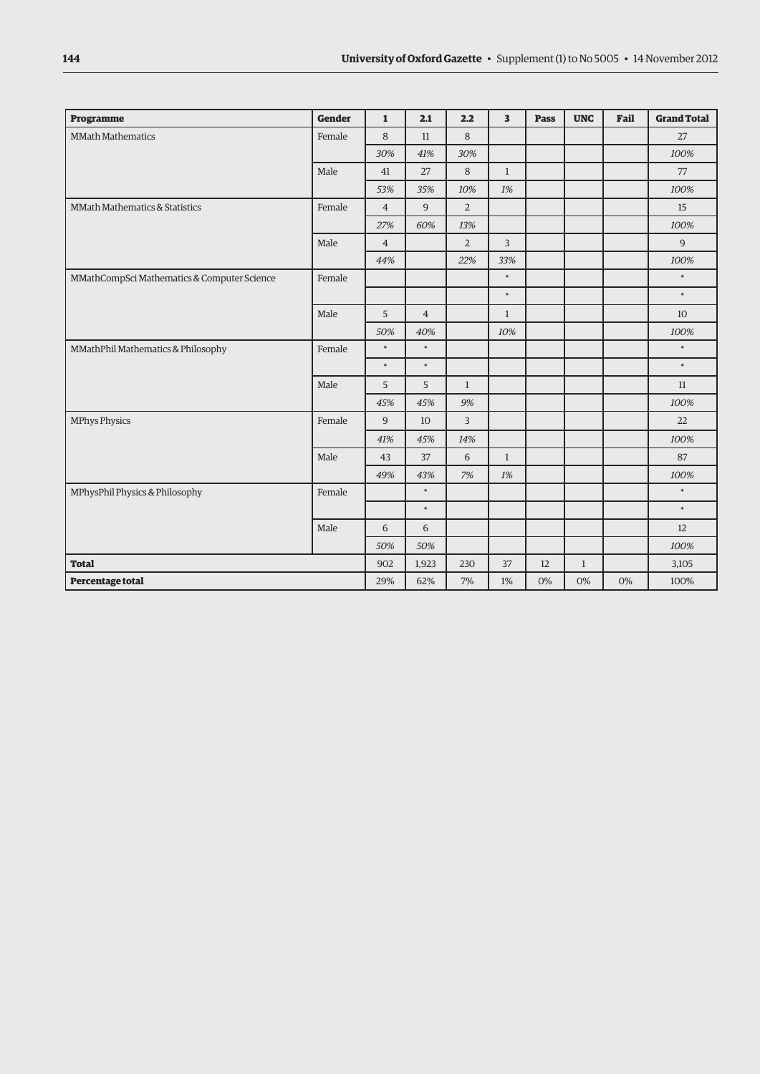| Programme                                   | <b>Gender</b> | $\mathbf{1}$   | 2.1            | 2.2            | 3              | Pass | <b>UNC</b>   | Fail | <b>Grand Total</b> |
|---------------------------------------------|---------------|----------------|----------------|----------------|----------------|------|--------------|------|--------------------|
| <b>MMath Mathematics</b>                    | Female        | 8              | 11             | 8              |                |      |              |      | 27                 |
|                                             |               | 30%            | 41%            | 30%            |                |      |              |      | 100%               |
|                                             | Male          | 41             | 27             | 8              | $\mathbf{1}$   |      |              |      | 77                 |
|                                             |               | 53%            | 35%            | 10%            | 1%             |      |              |      | 100%               |
| MMath Mathematics & Statistics              | Female        | $\overline{4}$ | 9              | $\overline{2}$ |                |      |              |      | 15                 |
|                                             |               | 27%            | 60%            | 13%            |                |      |              |      | 100%               |
|                                             | Male          | $\overline{4}$ |                | $\overline{2}$ | $\overline{3}$ |      |              |      | 9                  |
|                                             |               | 44%            |                | 22%            | 33%            |      |              |      | 100%               |
| MMathCompSci Mathematics & Computer Science | Female        |                |                |                | $\ast$         |      |              |      | $\ast$             |
|                                             |               |                |                |                | $\ast$         |      |              |      | $\ast$             |
|                                             | Male          | 5              | $\overline{4}$ |                | $\mathbf{1}$   |      |              |      | 10                 |
|                                             |               | 50%            | 40%            |                | 10%            |      |              |      | 100%               |
| MMathPhil Mathematics & Philosophy          | Female        | $\ast$         | $\ast$         |                |                |      |              |      | $\ast$             |
|                                             |               | $\ast$         | $\ast$         |                |                |      |              |      | $\ast$             |
|                                             | Male          | 5              | 5              | $\mathbf{1}$   |                |      |              |      | 11                 |
|                                             |               | 45%            | 45%            | 9%             |                |      |              |      | 100%               |
| <b>MPhys Physics</b>                        | Female        | 9              | 10             | $\overline{3}$ |                |      |              |      | 22                 |
|                                             |               | 41%            | 45%            | 14%            |                |      |              |      | 100%               |
|                                             | Male          | 43             | 37             | 6              | $\mathbf{1}$   |      |              |      | 87                 |
|                                             |               | 49%            | 43%            | 7%             | 1%             |      |              |      | 100%               |
| MPhysPhil Physics & Philosophy              | Female        |                | $\ast$         |                |                |      |              |      | $\ast$             |
|                                             |               |                | $\ast$         |                |                |      |              |      | $\ast$             |
|                                             | Male          | 6              | 6              |                |                |      |              |      | 12                 |
|                                             |               | 50%            | 50%            |                |                |      |              |      | 100%               |
| <b>Total</b>                                |               | 902            | 1,923          | 230            | 37             | 12   | $\mathbf{1}$ |      | 3,105              |
| Percentage total                            |               | 29%            | 62%            | 7%             | 1%             | 0%   | 0%           | 0%   | 100%               |